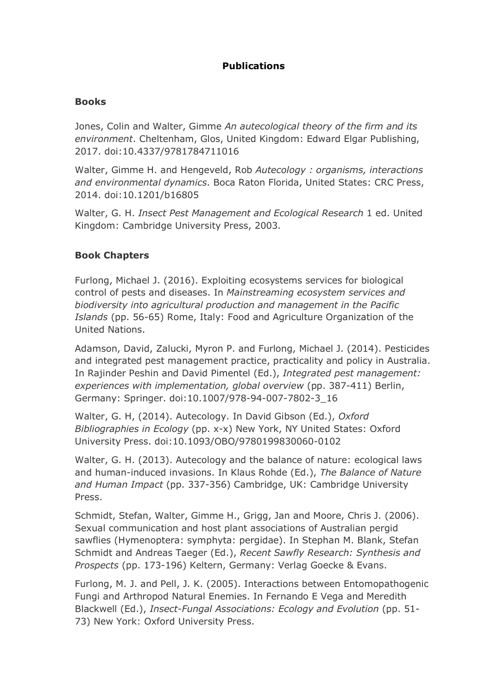# **Publications**

### **Books**

Jones, Colin and Walter, Gimme *An autecological theory of the firm and its environment*. Cheltenham, Glos, United Kingdom: Edward Elgar Publishing, 2017. doi:10.4337/9781784711016

Walter, Gimme H. and Hengeveld, Rob *Autecology : organisms, interactions and environmental dynamics*. Boca Raton Florida, United States: CRC Press, 2014. doi:10.1201/b16805

Walter, G. H. *Insect Pest Management and Ecological Research* 1 ed. United Kingdom: Cambridge University Press, 2003.

### **Book Chapters**

Furlong, Michael J. (2016). Exploiting ecosystems services for biological control of pests and diseases. In *Mainstreaming ecosystem services and biodiversity into agricultural production and management in the Pacific Islands* (pp. 56-65) Rome, Italy: Food and Agriculture Organization of the United Nations.

Adamson, David, Zalucki, Myron P. and Furlong, Michael J. (2014). Pesticides and integrated pest management practice, practicality and policy in Australia. In Rajinder Peshin and David Pimentel (Ed.), *Integrated pest management: experiences with implementation, global overview* (pp. 387-411) Berlin, Germany: Springer. doi:10.1007/978-94-007-7802-3\_16

Walter, G. H, (2014). Autecology. In David Gibson (Ed.), *Oxford Bibliographies in Ecology* (pp. x-x) New York, NY United States: Oxford University Press. doi:10.1093/OBO/9780199830060-0102

Walter, G. H. (2013). Autecology and the balance of nature: ecological laws and human-induced invasions. In Klaus Rohde (Ed.), *The Balance of Nature and Human Impact* (pp. 337-356) Cambridge, UK: Cambridge University Press.

Schmidt, Stefan, Walter, Gimme H., Grigg, Jan and Moore, Chris J. (2006). Sexual communication and host plant associations of Australian pergid sawflies (Hymenoptera: symphyta: pergidae). In Stephan M. Blank, Stefan Schmidt and Andreas Taeger (Ed.), *Recent Sawfly Research: Synthesis and Prospects* (pp. 173-196) Keltern, Germany: Verlag Goecke & Evans.

Furlong, M. J. and Pell, J. K. (2005). Interactions between Entomopathogenic Fungi and Arthropod Natural Enemies. In Fernando E Vega and Meredith Blackwell (Ed.), *Insect-Fungal Associations: Ecology and Evolution* (pp. 51- 73) New York: Oxford University Press.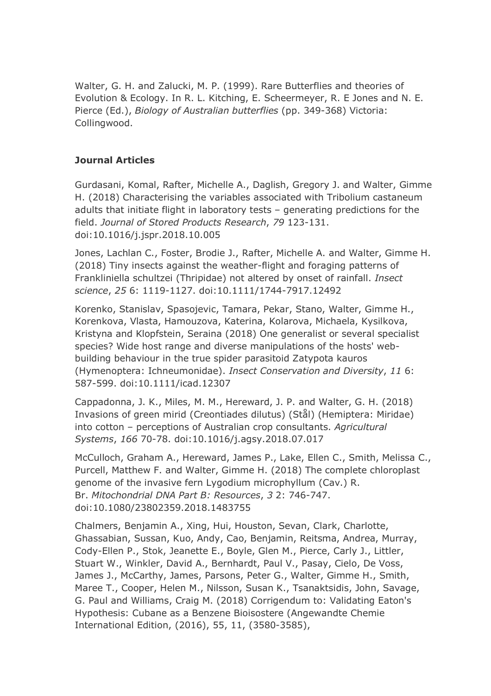Walter, G. H. and Zalucki, M. P. (1999). Rare Butterflies and theories of Evolution & Ecology. In R. L. Kitching, E. Scheermeyer, R. E Jones and N. E. Pierce (Ed.), *Biology of Australian butterflies* (pp. 349-368) Victoria: Collingwood.

# **Journal Articles**

Gurdasani, Komal, Rafter, Michelle A., Daglish, Gregory J. and Walter, Gimme H. (2018) Characterising the variables associated with Tribolium castaneum adults that initiate flight in laboratory tests – generating predictions for the field. *Journal of Stored Products Research*, *79* 123-131. doi:10.1016/j.jspr.2018.10.005

Jones, Lachlan C., Foster, Brodie J., Rafter, Michelle A. and Walter, Gimme H. (2018) Tiny insects against the weather-flight and foraging patterns of Frankliniella schultzei (Thripidae) not altered by onset of rainfall. *Insect science*, *25* 6: 1119-1127. doi:10.1111/1744-7917.12492

Korenko, Stanislav, Spasojevic, Tamara, Pekar, Stano, Walter, Gimme H., Korenkova, Vlasta, Hamouzova, Katerina, Kolarova, Michaela, Kysilkova, Kristyna and Klopfstein, Seraina (2018) One generalist or several specialist species? Wide host range and diverse manipulations of the hosts' webbuilding behaviour in the true spider parasitoid Zatypota kauros (Hymenoptera: Ichneumonidae). *Insect Conservation and Diversity*, *11* 6: 587-599. doi:10.1111/icad.12307

Cappadonna, J. K., Miles, M. M., Hereward, J. P. and Walter, G. H. (2018) Invasions of green mirid (Creontiades dilutus) (Stål) (Hemiptera: Miridae) into cotton – perceptions of Australian crop consultants. *Agricultural Systems*, *166* 70-78. doi:10.1016/j.agsy.2018.07.017

McCulloch, Graham A., Hereward, James P., Lake, Ellen C., Smith, Melissa C., Purcell, Matthew F. and Walter, Gimme H. (2018) The complete chloroplast genome of the invasive fern Lygodium microphyllum (Cav.) R. Br. *Mitochondrial DNA Part B: Resources*, *3* 2: 746-747. doi:10.1080/23802359.2018.1483755

Chalmers, Benjamin A., Xing, Hui, Houston, Sevan, Clark, Charlotte, Ghassabian, Sussan, Kuo, Andy, Cao, Benjamin, Reitsma, Andrea, Murray, Cody-Ellen P., Stok, Jeanette E., Boyle, Glen M., Pierce, Carly J., Littler, Stuart W., Winkler, David A., Bernhardt, Paul V., Pasay, Cielo, De Voss, James J., McCarthy, James, Parsons, Peter G., Walter, Gimme H., Smith, Maree T., Cooper, Helen M., Nilsson, Susan K., Tsanaktsidis, John, Savage, G. Paul and Williams, Craig M. (2018) Corrigendum to: Validating Eaton's Hypothesis: Cubane as a Benzene Bioisostere (Angewandte Chemie International Edition, (2016), 55, 11, (3580-3585),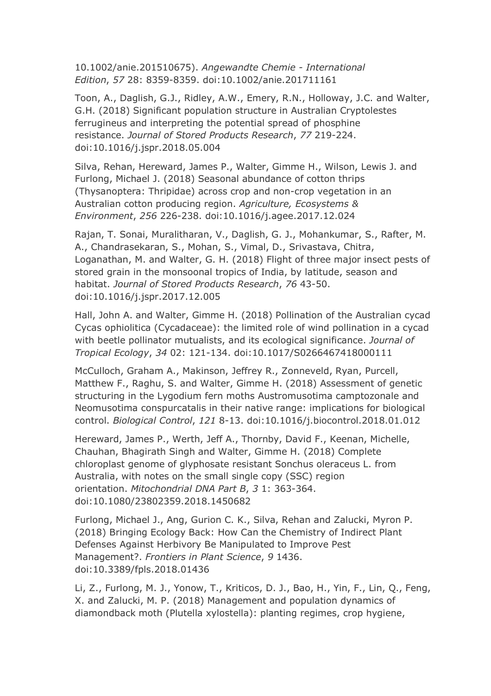10.1002/anie.201510675). *Angewandte Chemie - International Edition*, *57* 28: 8359-8359. doi:10.1002/anie.201711161

Toon, A., Daglish, G.J., Ridley, A.W., Emery, R.N., Holloway, J.C. and Walter, G.H. (2018) Significant population structure in Australian Cryptolestes ferrugineus and interpreting the potential spread of phosphine resistance. *Journal of Stored Products Research*, *77* 219-224. doi:10.1016/j.jspr.2018.05.004

Silva, Rehan, Hereward, James P., Walter, Gimme H., Wilson, Lewis J. and Furlong, Michael J. (2018) Seasonal abundance of cotton thrips (Thysanoptera: Thripidae) across crop and non-crop vegetation in an Australian cotton producing region. *Agriculture, Ecosystems & Environment*, *256* 226-238. doi:10.1016/j.agee.2017.12.024

Rajan, T. Sonai, Muralitharan, V., Daglish, G. J., Mohankumar, S., Rafter, M. A., Chandrasekaran, S., Mohan, S., Vimal, D., Srivastava, Chitra, Loganathan, M. and Walter, G. H. (2018) Flight of three major insect pests of stored grain in the monsoonal tropics of India, by latitude, season and habitat. *Journal of Stored Products Research*, *76* 43-50. doi:10.1016/j.jspr.2017.12.005

Hall, John A. and Walter, Gimme H. (2018) Pollination of the Australian cycad Cycas ophiolitica (Cycadaceae): the limited role of wind pollination in a cycad with beetle pollinator mutualists, and its ecological significance. *Journal of Tropical Ecology*, *34* 02: 121-134. doi:10.1017/S0266467418000111

McCulloch, Graham A., Makinson, Jeffrey R., Zonneveld, Ryan, Purcell, Matthew F., Raghu, S. and Walter, Gimme H. (2018) Assessment of genetic structuring in the Lygodium fern moths Austromusotima camptozonale and Neomusotima conspurcatalis in their native range: implications for biological control. *Biological Control*, *121* 8-13. doi:10.1016/j.biocontrol.2018.01.012

Hereward, James P., Werth, Jeff A., Thornby, David F., Keenan, Michelle, Chauhan, Bhagirath Singh and Walter, Gimme H. (2018) Complete chloroplast genome of glyphosate resistant Sonchus oleraceus L. from Australia, with notes on the small single copy (SSC) region orientation. *Mitochondrial DNA Part B*, *3* 1: 363-364. doi:10.1080/23802359.2018.1450682

Furlong, Michael J., Ang, Gurion C. K., Silva, Rehan and Zalucki, Myron P. (2018) Bringing Ecology Back: How Can the Chemistry of Indirect Plant Defenses Against Herbivory Be Manipulated to Improve Pest Management?. *Frontiers in Plant Science*, *9* 1436. doi:10.3389/fpls.2018.01436

Li, Z., Furlong, M. J., Yonow, T., Kriticos, D. J., Bao, H., Yin, F., Lin, Q., Feng, X. and Zalucki, M. P. (2018) Management and population dynamics of diamondback moth (Plutella xylostella): planting regimes, crop hygiene,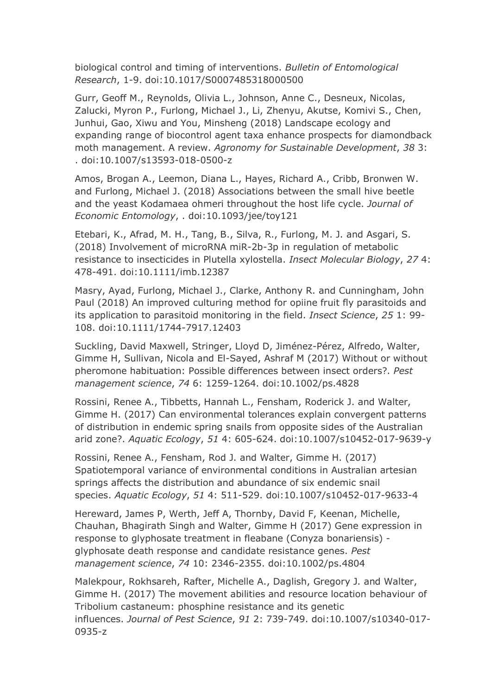biological control and timing of interventions. *Bulletin of Entomological Research*, 1-9. doi:10.1017/S0007485318000500

Gurr, Geoff M., Reynolds, Olivia L., Johnson, Anne C., Desneux, Nicolas, Zalucki, Myron P., Furlong, Michael J., Li, Zhenyu, Akutse, Komivi S., Chen, Junhui, Gao, Xiwu and You, Minsheng (2018) Landscape ecology and expanding range of biocontrol agent taxa enhance prospects for diamondback moth management. A review. *Agronomy for Sustainable Development*, *38* 3: . doi:10.1007/s13593-018-0500-z

Amos, Brogan A., Leemon, Diana L., Hayes, Richard A., Cribb, Bronwen W. and Furlong, Michael J. (2018) Associations between the small hive beetle and the yeast Kodamaea ohmeri throughout the host life cycle. *Journal of Economic Entomology*, . doi:10.1093/jee/toy121

Etebari, K., Afrad, M. H., Tang, B., Silva, R., Furlong, M. J. and Asgari, S. (2018) Involvement of microRNA miR-2b-3p in regulation of metabolic resistance to insecticides in Plutella xylostella. *Insect Molecular Biology*, *27* 4: 478-491. doi:10.1111/imb.12387

Masry, Ayad, Furlong, Michael J., Clarke, Anthony R. and Cunningham, John Paul (2018) An improved culturing method for opiine fruit fly parasitoids and its application to parasitoid monitoring in the field. *Insect Science*, *25* 1: 99- 108. doi:10.1111/1744-7917.12403

Suckling, David Maxwell, Stringer, Lloyd D, Jiménez-Pérez, Alfredo, Walter, Gimme H, Sullivan, Nicola and El-Sayed, Ashraf M (2017) Without or without pheromone habituation: Possible differences between insect orders?. *Pest management science*, *74* 6: 1259-1264. doi:10.1002/ps.4828

Rossini, Renee A., Tibbetts, Hannah L., Fensham, Roderick J. and Walter, Gimme H. (2017) Can environmental tolerances explain convergent patterns of distribution in endemic spring snails from opposite sides of the Australian arid zone?. *Aquatic Ecology*, *51* 4: 605-624. doi:10.1007/s10452-017-9639-y

Rossini, Renee A., Fensham, Rod J. and Walter, Gimme H. (2017) Spatiotemporal variance of environmental conditions in Australian artesian springs affects the distribution and abundance of six endemic snail species. *Aquatic Ecology*, *51* 4: 511-529. doi:10.1007/s10452-017-9633-4

Hereward, James P, Werth, Jeff A, Thornby, David F, Keenan, Michelle, Chauhan, Bhagirath Singh and Walter, Gimme H (2017) Gene expression in response to glyphosate treatment in fleabane (Conyza bonariensis) glyphosate death response and candidate resistance genes. *Pest management science*, *74* 10: 2346-2355. doi:10.1002/ps.4804

Malekpour, Rokhsareh, Rafter, Michelle A., Daglish, Gregory J. and Walter, Gimme H. (2017) The movement abilities and resource location behaviour of Tribolium castaneum: phosphine resistance and its genetic influences. *Journal of Pest Science*, *91* 2: 739-749. doi:10.1007/s10340-017- 0935-z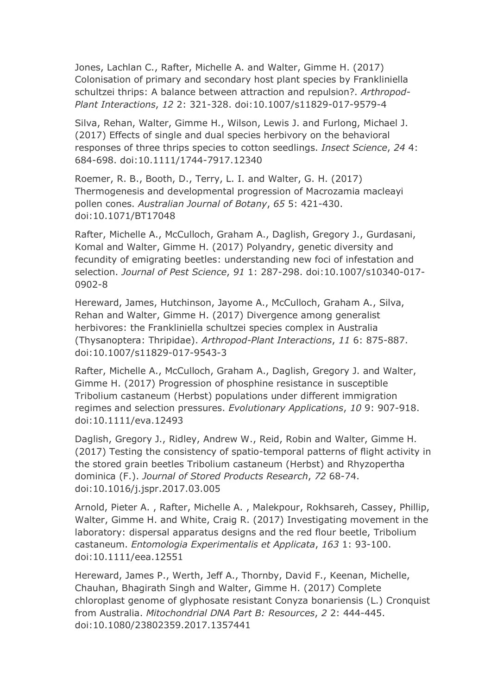Jones, Lachlan C., Rafter, Michelle A. and Walter, Gimme H. (2017) Colonisation of primary and secondary host plant species by Frankliniella schultzei thrips: A balance between attraction and repulsion?. *Arthropod-Plant Interactions*, *12* 2: 321-328. doi:10.1007/s11829-017-9579-4

Silva, Rehan, Walter, Gimme H., Wilson, Lewis J. and Furlong, Michael J. (2017) Effects of single and dual species herbivory on the behavioral responses of three thrips species to cotton seedlings. *Insect Science*, *24* 4: 684-698. doi:10.1111/1744-7917.12340

Roemer, R. B., Booth, D., Terry, L. I. and Walter, G. H. (2017) Thermogenesis and developmental progression of Macrozamia macleayi pollen cones. *Australian Journal of Botany*, *65* 5: 421-430. doi:10.1071/BT17048

Rafter, Michelle A., McCulloch, Graham A., Daglish, Gregory J., Gurdasani, Komal and Walter, Gimme H. (2017) Polyandry, genetic diversity and fecundity of emigrating beetles: understanding new foci of infestation and selection. *Journal of Pest Science*, *91* 1: 287-298. doi:10.1007/s10340-017- 0902-8

Hereward, James, Hutchinson, Jayome A., McCulloch, Graham A., Silva, Rehan and Walter, Gimme H. (2017) Divergence among generalist herbivores: the Frankliniella schultzei species complex in Australia (Thysanoptera: Thripidae). *Arthropod-Plant Interactions*, *11* 6: 875-887. doi:10.1007/s11829-017-9543-3

Rafter, Michelle A., McCulloch, Graham A., Daglish, Gregory J. and Walter, Gimme H. (2017) Progression of phosphine resistance in susceptible Tribolium castaneum (Herbst) populations under different immigration regimes and selection pressures. *Evolutionary Applications*, *10* 9: 907-918. doi:10.1111/eva.12493

Daglish, Gregory J., Ridley, Andrew W., Reid, Robin and Walter, Gimme H. (2017) Testing the consistency of spatio-temporal patterns of flight activity in the stored grain beetles Tribolium castaneum (Herbst) and Rhyzopertha dominica (F.). *Journal of Stored Products Research*, *72* 68-74. doi:10.1016/j.jspr.2017.03.005

Arnold, Pieter A. , Rafter, Michelle A. , Malekpour, Rokhsareh, Cassey, Phillip, Walter, Gimme H. and White, Craig R. (2017) Investigating movement in the laboratory: dispersal apparatus designs and the red flour beetle, Tribolium castaneum. *Entomologia Experimentalis et Applicata*, *163* 1: 93-100. doi:10.1111/eea.12551

Hereward, James P., Werth, Jeff A., Thornby, David F., Keenan, Michelle, Chauhan, Bhagirath Singh and Walter, Gimme H. (2017) Complete chloroplast genome of glyphosate resistant Conyza bonariensis (L.) Cronquist from Australia. *Mitochondrial DNA Part B: Resources*, *2* 2: 444-445. doi:10.1080/23802359.2017.1357441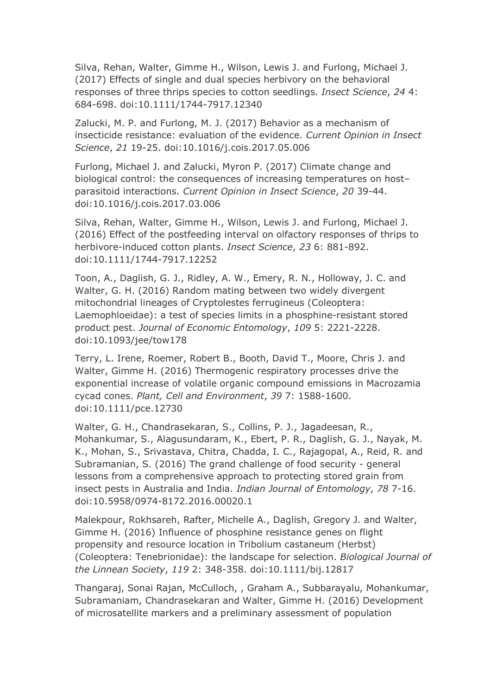Silva, Rehan, Walter, Gimme H., Wilson, Lewis J. and Furlong, Michael J. (2017) Effects of single and dual species herbivory on the behavioral responses of three thrips species to cotton seedlings. *Insect Science*, *24* 4: 684-698. doi:10.1111/1744-7917.12340

Zalucki, M. P. and Furlong, M. J. (2017) Behavior as a mechanism of insecticide resistance: evaluation of the evidence. *Current Opinion in Insect Science*, *21* 19-25. doi:10.1016/j.cois.2017.05.006

Furlong, Michael J. and Zalucki, Myron P. (2017) Climate change and biological control: the consequences of increasing temperatures on host– parasitoid interactions. *Current Opinion in Insect Science*, *20* 39-44. doi:10.1016/j.cois.2017.03.006

Silva, Rehan, Walter, Gimme H., Wilson, Lewis J. and Furlong, Michael J. (2016) Effect of the postfeeding interval on olfactory responses of thrips to herbivore-induced cotton plants. *Insect Science*, *23* 6: 881-892. doi:10.1111/1744-7917.12252

Toon, A., Daglish, G. J., Ridley, A. W., Emery, R. N., Holloway, J. C. and Walter, G. H. (2016) Random mating between two widely divergent mitochondrial lineages of Cryptolestes ferrugineus (Coleoptera: Laemophloeidae): a test of species limits in a phosphine-resistant stored product pest. *Journal of Economic Entomology*, *109* 5: 2221-2228. doi:10.1093/jee/tow178

Terry, L. Irene, Roemer, Robert B., Booth, David T., Moore, Chris J. and Walter, Gimme H. (2016) Thermogenic respiratory processes drive the exponential increase of volatile organic compound emissions in Macrozamia cycad cones. *Plant, Cell and Environment*, *39* 7: 1588-1600. doi:10.1111/pce.12730

Walter, G. H., Chandrasekaran, S., Collins, P. J., Jagadeesan, R., Mohankumar, S., Alagusundaram, K., Ebert, P. R., Daglish, G. J., Nayak, M. K., Mohan, S., Srivastava, Chitra, Chadda, I. C., Rajagopal, A., Reid, R. and Subramanian, S. (2016) The grand challenge of food security - general lessons from a comprehensive approach to protecting stored grain from insect pests in Australia and India. *Indian Journal of Entomology*, *78* 7-16. doi:10.5958/0974-8172.2016.00020.1

Malekpour, Rokhsareh, Rafter, Michelle A., Daglish, Gregory J. and Walter, Gimme H. (2016) Influence of phosphine resistance genes on flight propensity and resource location in Tribolium castaneum (Herbst) (Coleoptera: Tenebrionidae): the landscape for selection. *Biological Journal of the Linnean Society*, *119* 2: 348-358. doi:10.1111/bij.12817

Thangaraj, Sonai Rajan, McCulloch, , Graham A., Subbarayalu, Mohankumar, Subramaniam, Chandrasekaran and Walter, Gimme H. (2016) Development of microsatellite markers and a preliminary assessment of population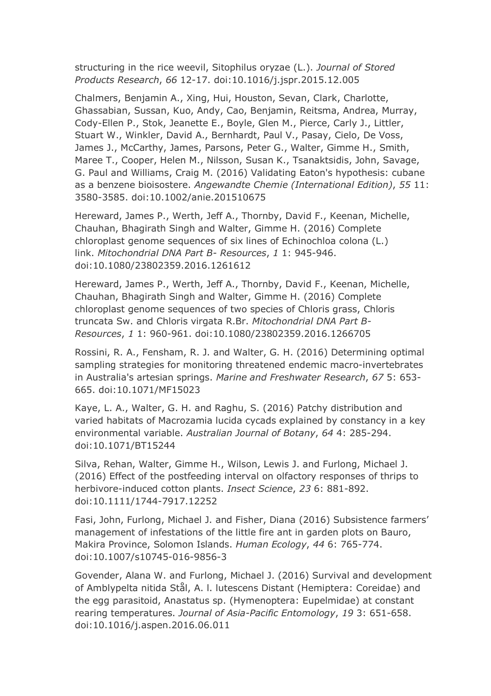structuring in the rice weevil, Sitophilus oryzae (L.). *Journal of Stored Products Research*, *66* 12-17. doi:10.1016/j.jspr.2015.12.005

Chalmers, Benjamin A., Xing, Hui, Houston, Sevan, Clark, Charlotte, Ghassabian, Sussan, Kuo, Andy, Cao, Benjamin, Reitsma, Andrea, Murray, Cody-Ellen P., Stok, Jeanette E., Boyle, Glen M., Pierce, Carly J., Littler, Stuart W., Winkler, David A., Bernhardt, Paul V., Pasay, Cielo, De Voss, James J., McCarthy, James, Parsons, Peter G., Walter, Gimme H., Smith, Maree T., Cooper, Helen M., Nilsson, Susan K., Tsanaktsidis, John, Savage, G. Paul and Williams, Craig M. (2016) Validating Eaton's hypothesis: cubane as a benzene bioisostere. *Angewandte Chemie (International Edition)*, *55* 11: 3580-3585. doi:10.1002/anie.201510675

Hereward, James P., Werth, Jeff A., Thornby, David F., Keenan, Michelle, Chauhan, Bhagirath Singh and Walter, Gimme H. (2016) Complete chloroplast genome sequences of six lines of Echinochloa colona (L.) link. *Mitochondrial DNA Part B- Resources*, *1* 1: 945-946. doi:10.1080/23802359.2016.1261612

Hereward, James P., Werth, Jeff A., Thornby, David F., Keenan, Michelle, Chauhan, Bhagirath Singh and Walter, Gimme H. (2016) Complete chloroplast genome sequences of two species of Chloris grass, Chloris truncata Sw. and Chloris virgata R.Br. *Mitochondrial DNA Part B-Resources*, *1* 1: 960-961. doi:10.1080/23802359.2016.1266705

Rossini, R. A., Fensham, R. J. and Walter, G. H. (2016) Determining optimal sampling strategies for monitoring threatened endemic macro-invertebrates in Australia's artesian springs. *Marine and Freshwater Research*, *67* 5: 653- 665. doi:10.1071/MF15023

Kaye, L. A., Walter, G. H. and Raghu, S. (2016) Patchy distribution and varied habitats of Macrozamia lucida cycads explained by constancy in a key environmental variable. *Australian Journal of Botany*, *64* 4: 285-294. doi:10.1071/BT15244

Silva, Rehan, Walter, Gimme H., Wilson, Lewis J. and Furlong, Michael J. (2016) Effect of the postfeeding interval on olfactory responses of thrips to herbivore-induced cotton plants. *Insect Science*, *23* 6: 881-892. doi:10.1111/1744-7917.12252

Fasi, John, Furlong, Michael J. and Fisher, Diana (2016) Subsistence farmers' management of infestations of the little fire ant in garden plots on Bauro, Makira Province, Solomon Islands. *Human Ecology*, *44* 6: 765-774. doi:10.1007/s10745-016-9856-3

Govender, Alana W. and Furlong, Michael J. (2016) Survival and development of Amblypelta nitida Stål, A. l. lutescens Distant (Hemiptera: Coreidae) and the egg parasitoid, Anastatus sp. (Hymenoptera: Eupelmidae) at constant rearing temperatures. *Journal of Asia-Pacific Entomology*, *19* 3: 651-658. doi:10.1016/j.aspen.2016.06.011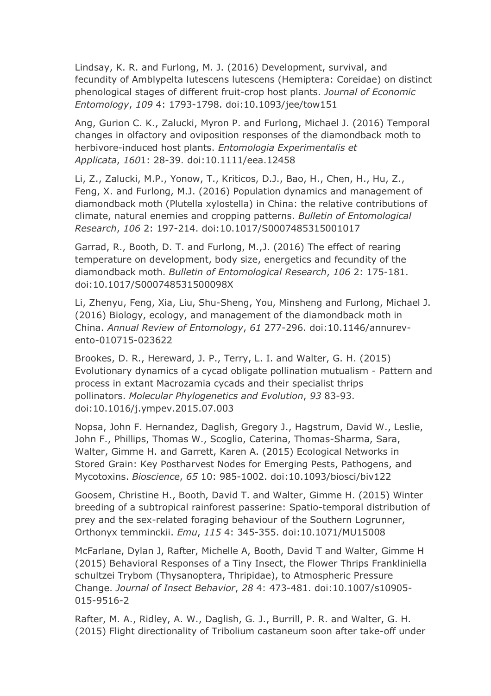Lindsay, K. R. and Furlong, M. J. (2016) Development, survival, and fecundity of Amblypelta lutescens lutescens (Hemiptera: Coreidae) on distinct phenological stages of different fruit-crop host plants. *Journal of Economic Entomology*, *109* 4: 1793-1798. doi:10.1093/jee/tow151

Ang, Gurion C. K., Zalucki, Myron P. and Furlong, Michael J. (2016) Temporal changes in olfactory and oviposition responses of the diamondback moth to herbivore-induced host plants. *Entomologia Experimentalis et Applicata*, *160*1: 28-39. doi:10.1111/eea.12458

Li, Z., Zalucki, M.P., Yonow, T., Kriticos, D.J., Bao, H., Chen, H., Hu, Z., Feng, X. and Furlong, M.J. (2016) Population dynamics and management of diamondback moth (Plutella xylostella) in China: the relative contributions of climate, natural enemies and cropping patterns. *Bulletin of Entomological Research*, *106* 2: 197-214. doi:10.1017/S0007485315001017

Garrad, R., Booth, D. T. and Furlong, M.,J. (2016) The effect of rearing temperature on development, body size, energetics and fecundity of the diamondback moth. *Bulletin of Entomological Research*, *106* 2: 175-181. doi:10.1017/S000748531500098X

Li, Zhenyu, Feng, Xia, Liu, Shu-Sheng, You, Minsheng and Furlong, Michael J. (2016) Biology, ecology, and management of the diamondback moth in China. *Annual Review of Entomology*, *61* 277-296. doi:10.1146/annurevento-010715-023622

Brookes, D. R., Hereward, J. P., Terry, L. I. and Walter, G. H. (2015) Evolutionary dynamics of a cycad obligate pollination mutualism - Pattern and process in extant Macrozamia cycads and their specialist thrips pollinators. *Molecular Phylogenetics and Evolution*, *93* 83-93. doi:10.1016/j.ympev.2015.07.003

Nopsa, John F. Hernandez, Daglish, Gregory J., Hagstrum, David W., Leslie, John F., Phillips, Thomas W., Scoglio, Caterina, Thomas-Sharma, Sara, Walter, Gimme H. and Garrett, Karen A. (2015) Ecological Networks in Stored Grain: Key Postharvest Nodes for Emerging Pests, Pathogens, and Mycotoxins. *Bioscience*, *65* 10: 985-1002. doi:10.1093/biosci/biv122

Goosem, Christine H., Booth, David T. and Walter, Gimme H. (2015) Winter breeding of a subtropical rainforest passerine: Spatio-temporal distribution of prey and the sex-related foraging behaviour of the Southern Logrunner, Orthonyx temminckii. *Emu*, *115* 4: 345-355. doi:10.1071/MU15008

McFarlane, Dylan J, Rafter, Michelle A, Booth, David T and Walter, Gimme H (2015) Behavioral Responses of a Tiny Insect, the Flower Thrips Frankliniella schultzei Trybom (Thysanoptera, Thripidae), to Atmospheric Pressure Change. *Journal of Insect Behavior*, *28* 4: 473-481. doi:10.1007/s10905- 015-9516-2

Rafter, M. A., Ridley, A. W., Daglish, G. J., Burrill, P. R. and Walter, G. H. (2015) Flight directionality of Tribolium castaneum soon after take-off under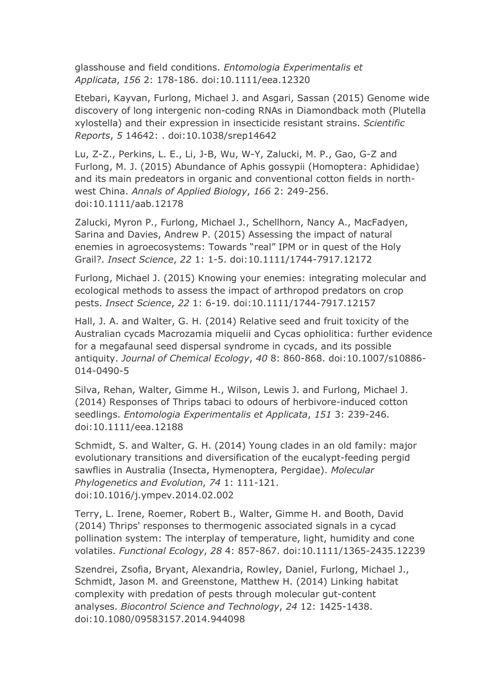glasshouse and field conditions. *Entomologia Experimentalis et Applicata*, *156* 2: 178-186. doi:10.1111/eea.12320

Etebari, Kayvan, Furlong, Michael J. and Asgari, Sassan (2015) Genome wide discovery of long intergenic non-coding RNAs in Diamondback moth (Plutella xylostella) and their expression in insecticide resistant strains. *Scientific Reports*, *5* 14642: . doi:10.1038/srep14642

Lu, Z-Z., Perkins, L. E., Li, J-B, Wu, W-Y, Zalucki, M. P., Gao, G-Z and Furlong, M. J. (2015) Abundance of Aphis gossypii (Homoptera: Aphididae) and its main predeators in organic and conventional cotton fields in northwest China. *Annals of Applied Biology*, *166* 2: 249-256. doi:10.1111/aab.12178

Zalucki, Myron P., Furlong, Michael J., Schellhorn, Nancy A., MacFadyen, Sarina and Davies, Andrew P. (2015) Assessing the impact of natural enemies in agroecosystems: Towards "real" IPM or in quest of the Holy Grail?. *Insect Science*, *22* 1: 1-5. doi:10.1111/1744-7917.12172

Furlong, Michael J. (2015) Knowing your enemies: integrating molecular and ecological methods to assess the impact of arthropod predators on crop pests. *Insect Science*, *22* 1: 6-19. doi:10.1111/1744-7917.12157

Hall, J. A. and Walter, G. H. (2014) Relative seed and fruit toxicity of the Australian cycads Macrozamia miquelii and Cycas ophiolitica: further evidence for a megafaunal seed dispersal syndrome in cycads, and its possible antiquity. *Journal of Chemical Ecology*, *40* 8: 860-868. doi:10.1007/s10886- 014-0490-5

Silva, Rehan, Walter, Gimme H., Wilson, Lewis J. and Furlong, Michael J. (2014) Responses of Thrips tabaci to odours of herbivore-induced cotton seedlings. *Entomologia Experimentalis et Applicata*, *151* 3: 239-246. doi:10.1111/eea.12188

Schmidt, S. and Walter, G. H. (2014) Young clades in an old family: major evolutionary transitions and diversification of the eucalypt-feeding pergid sawflies in Australia (Insecta, Hymenoptera, Pergidae). *Molecular Phylogenetics and Evolution*, *74* 1: 111-121. doi:10.1016/j.ympev.2014.02.002

Terry, L. Irene, Roemer, Robert B., Walter, Gimme H. and Booth, David (2014) Thrips' responses to thermogenic associated signals in a cycad pollination system: The interplay of temperature, light, humidity and cone volatiles. *Functional Ecology*, *28* 4: 857-867. doi:10.1111/1365-2435.12239

Szendrei, Zsofia, Bryant, Alexandria, Rowley, Daniel, Furlong, Michael J., Schmidt, Jason M. and Greenstone, Matthew H. (2014) Linking habitat complexity with predation of pests through molecular gut-content analyses. *Biocontrol Science and Technology*, *24* 12: 1425-1438. doi:10.1080/09583157.2014.944098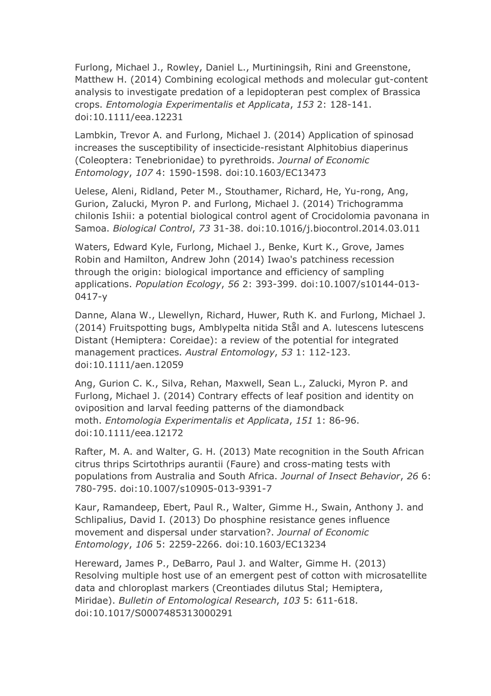Furlong, Michael J., Rowley, Daniel L., Murtiningsih, Rini and Greenstone, Matthew H. (2014) Combining ecological methods and molecular gut-content analysis to investigate predation of a lepidopteran pest complex of Brassica crops. *Entomologia Experimentalis et Applicata*, *153* 2: 128-141. doi:10.1111/eea.12231

Lambkin, Trevor A. and Furlong, Michael J. (2014) Application of spinosad increases the susceptibility of insecticide-resistant Alphitobius diaperinus (Coleoptera: Tenebrionidae) to pyrethroids. *Journal of Economic Entomology*, *107* 4: 1590-1598. doi:10.1603/EC13473

Uelese, Aleni, Ridland, Peter M., Stouthamer, Richard, He, Yu-rong, Ang, Gurion, Zalucki, Myron P. and Furlong, Michael J. (2014) Trichogramma chilonis Ishii: a potential biological control agent of Crocidolomia pavonana in Samoa. *Biological Control*, *73* 31-38. doi:10.1016/j.biocontrol.2014.03.011

Waters, Edward Kyle, Furlong, Michael J., Benke, Kurt K., Grove, James Robin and Hamilton, Andrew John (2014) Iwao's patchiness recession through the origin: biological importance and efficiency of sampling applications. *Population Ecology*, *56* 2: 393-399. doi:10.1007/s10144-013- 0417-y

Danne, Alana W., Llewellyn, Richard, Huwer, Ruth K. and Furlong, Michael J. (2014) Fruitspotting bugs, Amblypelta nitida Stål and A. lutescens lutescens Distant (Hemiptera: Coreidae): a review of the potential for integrated management practices. *Austral Entomology*, *53* 1: 112-123. doi:10.1111/aen.12059

Ang, Gurion C. K., Silva, Rehan, Maxwell, Sean L., Zalucki, Myron P. and Furlong, Michael J. (2014) Contrary effects of leaf position and identity on oviposition and larval feeding patterns of the diamondback moth. *Entomologia Experimentalis et Applicata*, *151* 1: 86-96. doi:10.1111/eea.12172

Rafter, M. A. and Walter, G. H. (2013) Mate recognition in the South African citrus thrips Scirtothrips aurantii (Faure) and cross-mating tests with populations from Australia and South Africa. *Journal of Insect Behavior*, *26* 6: 780-795. doi:10.1007/s10905-013-9391-7

Kaur, Ramandeep, Ebert, Paul R., Walter, Gimme H., Swain, Anthony J. and Schlipalius, David I. (2013) Do phosphine resistance genes influence movement and dispersal under starvation?. *Journal of Economic Entomology*, *106* 5: 2259-2266. doi:10.1603/EC13234

Hereward, James P., DeBarro, Paul J. and Walter, Gimme H. (2013) Resolving multiple host use of an emergent pest of cotton with microsatellite data and chloroplast markers (Creontiades dilutus Stal; Hemiptera, Miridae). *Bulletin of Entomological Research*, *103* 5: 611-618. doi:10.1017/S0007485313000291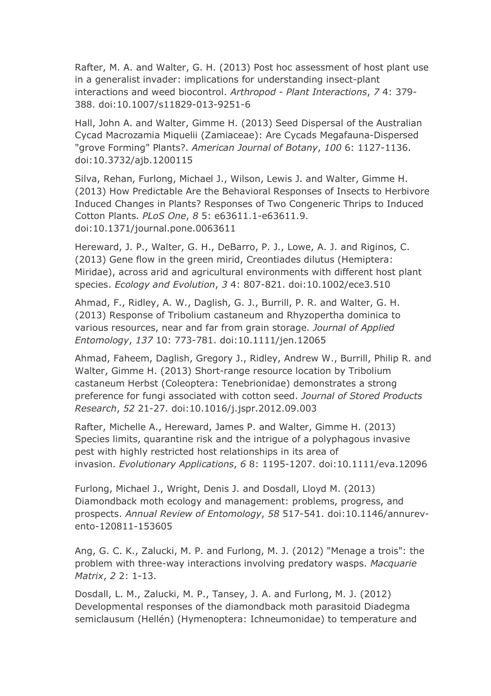Rafter, M. A. and Walter, G. H. (2013) Post hoc assessment of host plant use in a generalist invader: implications for understanding insect-plant interactions and weed biocontrol. *Arthropod - Plant Interactions*, *7* 4: 379- 388. doi:10.1007/s11829-013-9251-6

Hall, John A. and Walter, Gimme H. (2013) Seed Dispersal of the Australian Cycad Macrozamia Miquelii (Zamiaceae): Are Cycads Megafauna-Dispersed "grove Forming" Plants?. *American Journal of Botany*, *100* 6: 1127-1136. doi:10.3732/ajb.1200115

Silva, Rehan, Furlong, Michael J., Wilson, Lewis J. and Walter, Gimme H. (2013) How Predictable Are the Behavioral Responses of Insects to Herbivore Induced Changes in Plants? Responses of Two Congeneric Thrips to Induced Cotton Plants. *PLoS One*, *8* 5: e63611.1-e63611.9. doi:10.1371/journal.pone.0063611

Hereward, J. P., Walter, G. H., DeBarro, P. J., Lowe, A. J. and Riginos, C. (2013) Gene flow in the green mirid, Creontiades dilutus (Hemiptera: Miridae), across arid and agricultural environments with different host plant species. *Ecology and Evolution*, *3* 4: 807-821. doi:10.1002/ece3.510

Ahmad, F., Ridley, A. W., Daglish, G. J., Burrill, P. R. and Walter, G. H. (2013) Response of Tribolium castaneum and Rhyzopertha dominica to various resources, near and far from grain storage. *Journal of Applied Entomology*, *137* 10: 773-781. doi:10.1111/jen.12065

Ahmad, Faheem, Daglish, Gregory J., Ridley, Andrew W., Burrill, Philip R. and Walter, Gimme H. (2013) Short-range resource location by Tribolium castaneum Herbst (Coleoptera: Tenebrionidae) demonstrates a strong preference for fungi associated with cotton seed. *Journal of Stored Products Research*, *52* 21-27. doi:10.1016/j.jspr.2012.09.003

Rafter, Michelle A., Hereward, James P. and Walter, Gimme H. (2013) Species limits, quarantine risk and the intrigue of a polyphagous invasive pest with highly restricted host relationships in its area of invasion. *Evolutionary Applications*, *6* 8: 1195-1207. doi:10.1111/eva.12096

Furlong, Michael J., Wright, Denis J. and Dosdall, Lloyd M. (2013) Diamondback moth ecology and management: problems, progress, and prospects. *Annual Review of Entomology*, *58* 517-541. doi:10.1146/annurevento-120811-153605

Ang, G. C. K., Zalucki, M. P. and Furlong, M. J. (2012) "Menage a trois": the problem with three-way interactions involving predatory wasps. *Macquarie Matrix*, *2* 2: 1-13.

Dosdall, L. M., Zalucki, M. P., Tansey, J. A. and Furlong, M. J. (2012) Developmental responses of the diamondback moth parasitoid Diadegma semiclausum (Hellén) (Hymenoptera: Ichneumonidae) to temperature and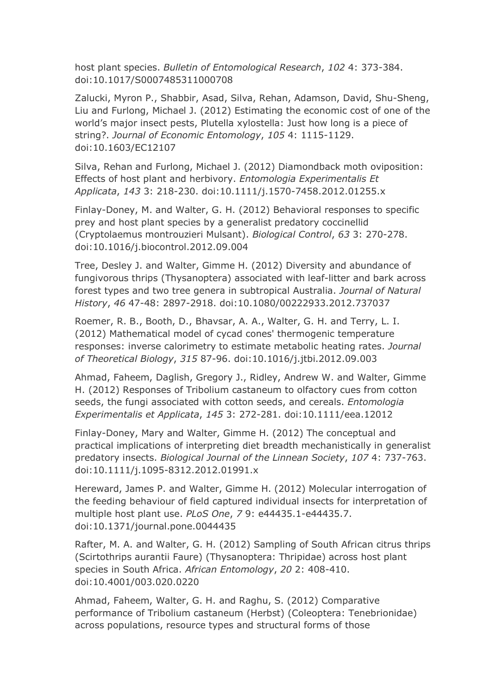host plant species. *Bulletin of Entomological Research*, *102* 4: 373-384. doi:10.1017/S0007485311000708

Zalucki, Myron P., Shabbir, Asad, Silva, Rehan, Adamson, David, Shu-Sheng, Liu and Furlong, Michael J. (2012) Estimating the economic cost of one of the world's major insect pests, Plutella xylostella: Just how long is a piece of string?. *Journal of Economic Entomology*, *105* 4: 1115-1129. doi:10.1603/EC12107

Silva, Rehan and Furlong, Michael J. (2012) Diamondback moth oviposition: Effects of host plant and herbivory. *Entomologia Experimentalis Et Applicata*, *143* 3: 218-230. doi:10.1111/j.1570-7458.2012.01255.x

Finlay-Doney, M. and Walter, G. H. (2012) Behavioral responses to specific prey and host plant species by a generalist predatory coccinellid (Cryptolaemus montrouzieri Mulsant). *Biological Control*, *63* 3: 270-278. doi:10.1016/j.biocontrol.2012.09.004

Tree, Desley J. and Walter, Gimme H. (2012) Diversity and abundance of fungivorous thrips (Thysanoptera) associated with leaf-litter and bark across forest types and two tree genera in subtropical Australia. *Journal of Natural History*, *46* 47-48: 2897-2918. doi:10.1080/00222933.2012.737037

Roemer, R. B., Booth, D., Bhavsar, A. A., Walter, G. H. and Terry, L. I. (2012) Mathematical model of cycad cones' thermogenic temperature responses: inverse calorimetry to estimate metabolic heating rates. *Journal of Theoretical Biology*, *315* 87-96. doi:10.1016/j.jtbi.2012.09.003

Ahmad, Faheem, Daglish, Gregory J., Ridley, Andrew W. and Walter, Gimme H. (2012) Responses of Tribolium castaneum to olfactory cues from cotton seeds, the fungi associated with cotton seeds, and cereals. *Entomologia Experimentalis et Applicata*, *145* 3: 272-281. doi:10.1111/eea.12012

Finlay-Doney, Mary and Walter, Gimme H. (2012) The conceptual and practical implications of interpreting diet breadth mechanistically in generalist predatory insects. *Biological Journal of the Linnean Society*, *107* 4: 737-763. doi:10.1111/j.1095-8312.2012.01991.x

Hereward, James P. and Walter, Gimme H. (2012) Molecular interrogation of the feeding behaviour of field captured individual insects for interpretation of multiple host plant use. *PLoS One*, *7* 9: e44435.1-e44435.7. doi:10.1371/journal.pone.0044435

Rafter, M. A. and Walter, G. H. (2012) Sampling of South African citrus thrips (Scirtothrips aurantii Faure) (Thysanoptera: Thripidae) across host plant species in South Africa. *African Entomology*, *20* 2: 408-410. doi:10.4001/003.020.0220

Ahmad, Faheem, Walter, G. H. and Raghu, S. (2012) Comparative performance of Tribolium castaneum (Herbst) (Coleoptera: Tenebrionidae) across populations, resource types and structural forms of those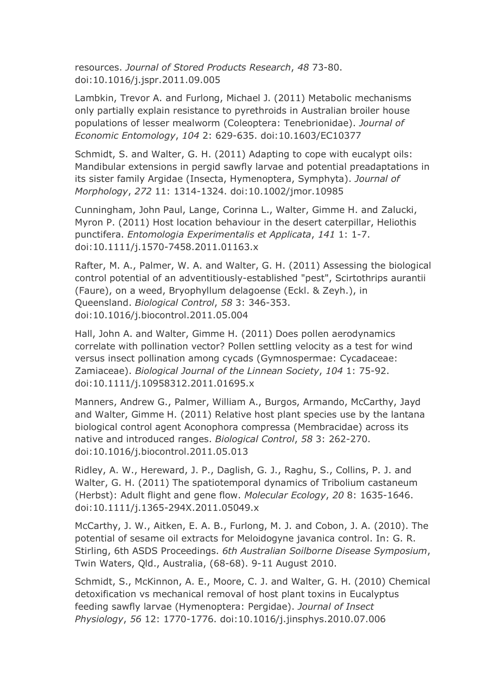resources. *Journal of Stored Products Research*, *48* 73-80. doi:10.1016/j.jspr.2011.09.005

Lambkin, Trevor A. and Furlong, Michael J. (2011) Metabolic mechanisms only partially explain resistance to pyrethroids in Australian broiler house populations of lesser mealworm (Coleoptera: Tenebrionidae). *Journal of Economic Entomology*, *104* 2: 629-635. doi:10.1603/EC10377

Schmidt, S. and Walter, G. H. (2011) Adapting to cope with eucalypt oils: Mandibular extensions in pergid sawfly larvae and potential preadaptations in its sister family Argidae (Insecta, Hymenoptera, Symphyta). *Journal of Morphology*, *272* 11: 1314-1324. doi:10.1002/jmor.10985

Cunningham, John Paul, Lange, Corinna L., Walter, Gimme H. and Zalucki, Myron P. (2011) Host location behaviour in the desert caterpillar, Heliothis punctifera. *Entomologia Experimentalis et Applicata*, *141* 1: 1-7. doi:10.1111/j.1570-7458.2011.01163.x

Rafter, M. A., Palmer, W. A. and Walter, G. H. (2011) Assessing the biological control potential of an adventitiously-established "pest", Scirtothrips aurantii (Faure), on a weed, Bryophyllum delagoense (Eckl. & Zeyh.), in Queensland. *Biological Control*, *58* 3: 346-353. doi:10.1016/j.biocontrol.2011.05.004

Hall, John A. and Walter, Gimme H. (2011) Does pollen aerodynamics correlate with pollination vector? Pollen settling velocity as a test for wind versus insect pollination among cycads (Gymnospermae: Cycadaceae: Zamiaceae). *Biological Journal of the Linnean Society*, *104* 1: 75-92. doi:10.1111/j.10958312.2011.01695.x

Manners, Andrew G., Palmer, William A., Burgos, Armando, McCarthy, Jayd and Walter, Gimme H. (2011) Relative host plant species use by the lantana biological control agent Aconophora compressa (Membracidae) across its native and introduced ranges. *Biological Control*, *58* 3: 262-270. doi:10.1016/j.biocontrol.2011.05.013

Ridley, A. W., Hereward, J. P., Daglish, G. J., Raghu, S., Collins, P. J. and Walter, G. H. (2011) The spatiotemporal dynamics of Tribolium castaneum (Herbst): Adult flight and gene flow. *Molecular Ecology*, *20* 8: 1635-1646. doi:10.1111/j.1365-294X.2011.05049.x

McCarthy, J. W., Aitken, E. A. B., Furlong, M. J. and Cobon, J. A. (2010). The potential of sesame oil extracts for Meloidogyne javanica control. In: G. R. Stirling, 6th ASDS Proceedings. *6th Australian Soilborne Disease Symposium*, Twin Waters, Qld., Australia, (68-68). 9-11 August 2010.

Schmidt, S., McKinnon, A. E., Moore, C. J. and Walter, G. H. (2010) Chemical detoxification vs mechanical removal of host plant toxins in Eucalyptus feeding sawfly larvae (Hymenoptera: Pergidae). *Journal of Insect Physiology*, *56* 12: 1770-1776. doi:10.1016/j.jinsphys.2010.07.006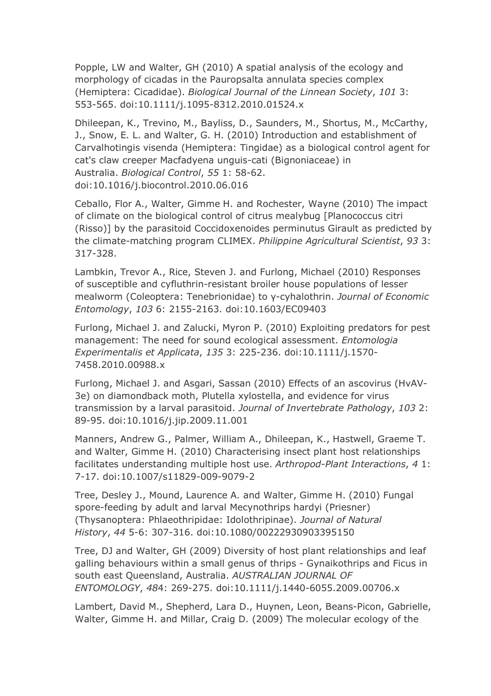Popple, LW and Walter, GH (2010) A spatial analysis of the ecology and morphology of cicadas in the Pauropsalta annulata species complex (Hemiptera: Cicadidae). *Biological Journal of the Linnean Society*, *101* 3: 553-565. doi:10.1111/j.1095-8312.2010.01524.x

Dhileepan, K., Trevino, M., Bayliss, D., Saunders, M., Shortus, M., McCarthy, J., Snow, E. L. and Walter, G. H. (2010) Introduction and establishment of Carvalhotingis visenda (Hemiptera: Tingidae) as a biological control agent for cat's claw creeper Macfadyena unguis-cati (Bignoniaceae) in Australia. *Biological Control*, *55* 1: 58-62. doi:10.1016/j.biocontrol.2010.06.016

Ceballo, Flor A., Walter, Gimme H. and Rochester, Wayne (2010) The impact of climate on the biological control of citrus mealybug [Planococcus citri (Risso)] by the parasitoid Coccidoxenoides perminutus Girault as predicted by the climate-matching program CLIMEX. *Philippine Agricultural Scientist*, *93* 3: 317-328.

Lambkin, Trevor A., Rice, Steven J. and Furlong, Michael (2010) Responses of susceptible and cyfluthrin-resistant broiler house populations of lesser mealworm (Coleoptera: Tenebrionidae) to γ-cyhalothrin. *Journal of Economic Entomology*, *103* 6: 2155-2163. doi:10.1603/EC09403

Furlong, Michael J. and Zalucki, Myron P. (2010) Exploiting predators for pest management: The need for sound ecological assessment. *Entomologia Experimentalis et Applicata*, *135* 3: 225-236. doi:10.1111/j.1570- 7458.2010.00988.x

Furlong, Michael J. and Asgari, Sassan (2010) Effects of an ascovirus (HvAV-3e) on diamondback moth, Plutella xylostella, and evidence for virus transmission by a larval parasitoid. *Journal of Invertebrate Pathology*, *103* 2: 89-95. doi:10.1016/j.jip.2009.11.001

Manners, Andrew G., Palmer, William A., Dhileepan, K., Hastwell, Graeme T. and Walter, Gimme H. (2010) Characterising insect plant host relationships facilitates understanding multiple host use. *Arthropod-Plant Interactions*, *4* 1: 7-17. doi:10.1007/s11829-009-9079-2

Tree, Desley J., Mound, Laurence A. and Walter, Gimme H. (2010) Fungal spore-feeding by adult and larval Mecynothrips hardyi (Priesner) (Thysanoptera: Phlaeothripidae: Idolothripinae). *Journal of Natural History*, *44* 5-6: 307-316. doi:10.1080/00222930903395150

Tree, DJ and Walter, GH (2009) Diversity of host plant relationships and leaf galling behaviours within a small genus of thrips - Gynaikothrips and Ficus in south east Queensland, Australia. *AUSTRALIAN JOURNAL OF ENTOMOLOGY*, *48*4: 269-275. doi:10.1111/j.1440-6055.2009.00706.x

Lambert, David M., Shepherd, Lara D., Huynen, Leon, Beans-Picon, Gabrielle, Walter, Gimme H. and Millar, Craig D. (2009) The molecular ecology of the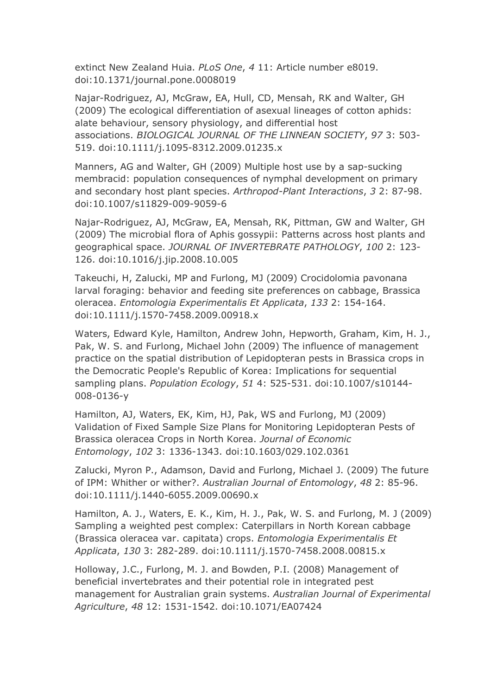extinct New Zealand Huia. *PLoS One*, *4* 11: Article number e8019. doi:10.1371/journal.pone.0008019

Najar-Rodriguez, AJ, McGraw, EA, Hull, CD, Mensah, RK and Walter, GH (2009) The ecological differentiation of asexual lineages of cotton aphids: alate behaviour, sensory physiology, and differential host associations. *BIOLOGICAL JOURNAL OF THE LINNEAN SOCIETY*, *97* 3: 503- 519. doi:10.1111/j.1095-8312.2009.01235.x

Manners, AG and Walter, GH (2009) Multiple host use by a sap-sucking membracid: population consequences of nymphal development on primary and secondary host plant species. *Arthropod-Plant Interactions*, *3* 2: 87-98. doi:10.1007/s11829-009-9059-6

Najar-Rodriguez, AJ, McGraw, EA, Mensah, RK, Pittman, GW and Walter, GH (2009) The microbial flora of Aphis gossypii: Patterns across host plants and geographical space. *JOURNAL OF INVERTEBRATE PATHOLOGY*, *100* 2: 123- 126. doi:10.1016/j.jip.2008.10.005

Takeuchi, H, Zalucki, MP and Furlong, MJ (2009) Crocidolomia pavonana larval foraging: behavior and feeding site preferences on cabbage, Brassica oleracea. *Entomologia Experimentalis Et Applicata*, *133* 2: 154-164. doi:10.1111/j.1570-7458.2009.00918.x

Waters, Edward Kyle, Hamilton, Andrew John, Hepworth, Graham, Kim, H. J., Pak, W. S. and Furlong, Michael John (2009) The influence of management practice on the spatial distribution of Lepidopteran pests in Brassica crops in the Democratic People's Republic of Korea: Implications for sequential sampling plans. *Population Ecology*, *51* 4: 525-531. doi:10.1007/s10144- 008-0136-y

Hamilton, AJ, Waters, EK, Kim, HJ, Pak, WS and Furlong, MJ (2009) Validation of Fixed Sample Size Plans for Monitoring Lepidopteran Pests of Brassica oleracea Crops in North Korea. *Journal of Economic Entomology*, *102* 3: 1336-1343. doi:10.1603/029.102.0361

Zalucki, Myron P., Adamson, David and Furlong, Michael J. (2009) The future of IPM: Whither or wither?. *Australian Journal of Entomology*, *48* 2: 85-96. doi:10.1111/j.1440-6055.2009.00690.x

Hamilton, A. J., Waters, E. K., Kim, H. J., Pak, W. S. and Furlong, M. J (2009) Sampling a weighted pest complex: Caterpillars in North Korean cabbage (Brassica oleracea var. capitata) crops. *Entomologia Experimentalis Et Applicata*, *130* 3: 282-289. doi:10.1111/j.1570-7458.2008.00815.x

Holloway, J.C., Furlong, M. J. and Bowden, P.I. (2008) Management of beneficial invertebrates and their potential role in integrated pest management for Australian grain systems. *Australian Journal of Experimental Agriculture*, *48* 12: 1531-1542. doi:10.1071/EA07424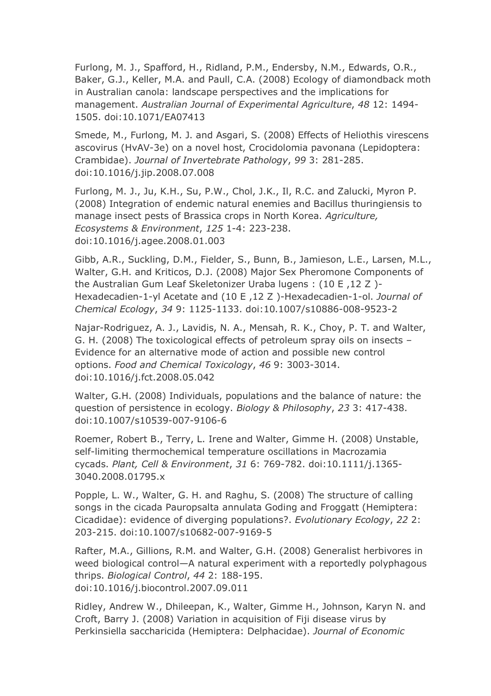Furlong, M. J., Spafford, H., Ridland, P.M., Endersby, N.M., Edwards, O.R., Baker, G.J., Keller, M.A. and Paull, C.A. (2008) Ecology of diamondback moth in Australian canola: landscape perspectives and the implications for management. *Australian Journal of Experimental Agriculture*, *48* 12: 1494- 1505. doi:10.1071/EA07413

Smede, M., Furlong, M. J. and Asgari, S. (2008) Effects of Heliothis virescens ascovirus (HvAV-3e) on a novel host, Crocidolomia pavonana (Lepidoptera: Crambidae). *Journal of Invertebrate Pathology*, *99* 3: 281-285. doi:10.1016/j.jip.2008.07.008

Furlong, M. J., Ju, K.H., Su, P.W., Chol, J.K., Il, R.C. and Zalucki, Myron P. (2008) Integration of endemic natural enemies and Bacillus thuringiensis to manage insect pests of Brassica crops in North Korea. *Agriculture, Ecosystems & Environment*, *125* 1-4: 223-238. doi:10.1016/j.agee.2008.01.003

Gibb, A.R., Suckling, D.M., Fielder, S., Bunn, B., Jamieson, L.E., Larsen, M.L., Walter, G.H. and Kriticos, D.J. (2008) Major Sex Pheromone Components of the Australian Gum Leaf Skeletonizer Uraba lugens : (10 E ,12 Z )- Hexadecadien-1-yl Acetate and (10 E ,12 Z )-Hexadecadien-1-ol. *Journal of Chemical Ecology*, *34* 9: 1125-1133. doi:10.1007/s10886-008-9523-2

Najar-Rodriguez, A. J., Lavidis, N. A., Mensah, R. K., Choy, P. T. and Walter, G. H. (2008) The toxicological effects of petroleum spray oils on insects – Evidence for an alternative mode of action and possible new control options. *Food and Chemical Toxicology*, *46* 9: 3003-3014. doi:10.1016/j.fct.2008.05.042

Walter, G.H. (2008) Individuals, populations and the balance of nature: the question of persistence in ecology. *Biology & Philosophy*, *23* 3: 417-438. doi:10.1007/s10539-007-9106-6

Roemer, Robert B., Terry, L. Irene and Walter, Gimme H. (2008) Unstable, self-limiting thermochemical temperature oscillations in Macrozamia cycads. *Plant, Cell & Environment*, *31* 6: 769-782. doi:10.1111/j.1365- 3040.2008.01795.x

Popple, L. W., Walter, G. H. and Raghu, S. (2008) The structure of calling songs in the cicada Pauropsalta annulata Goding and Froggatt (Hemiptera: Cicadidae): evidence of diverging populations?. *Evolutionary Ecology*, *22* 2: 203-215. doi:10.1007/s10682-007-9169-5

Rafter, M.A., Gillions, R.M. and Walter, G.H. (2008) Generalist herbivores in weed biological control—A natural experiment with a reportedly polyphagous thrips. *Biological Control*, *44* 2: 188-195. doi:10.1016/j.biocontrol.2007.09.011

Ridley, Andrew W., Dhileepan, K., Walter, Gimme H., Johnson, Karyn N. and Croft, Barry J. (2008) Variation in acquisition of Fiji disease virus by Perkinsiella saccharicida (Hemiptera: Delphacidae). *Journal of Economic*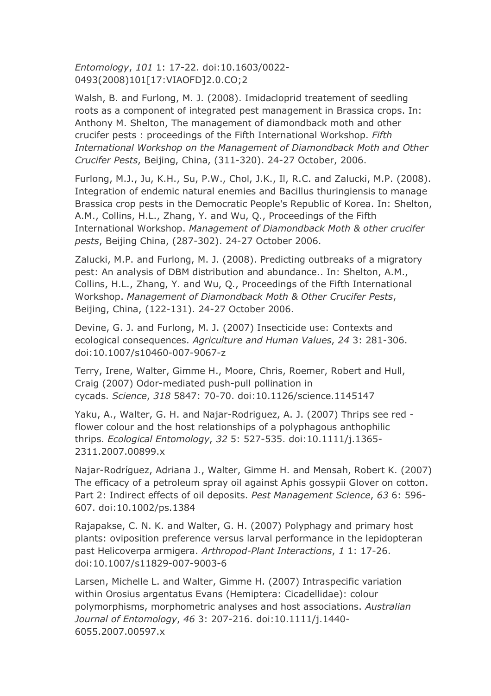*Entomology*, *101* 1: 17-22. doi:10.1603/0022- 0493(2008)101[17:VIAOFD]2.0.CO;2

Walsh, B. and Furlong, M. J. (2008). Imidacloprid treatement of seedling roots as a component of integrated pest management in Brassica crops. In: Anthony M. Shelton, The management of diamondback moth and other crucifer pests : proceedings of the Fifth International Workshop. *Fifth International Workshop on the Management of Diamondback Moth and Other Crucifer Pests*, Beijing, China, (311-320). 24-27 October, 2006.

Furlong, M.J., Ju, K.H., Su, P.W., Chol, J.K., Il, R.C. and Zalucki, M.P. (2008). Integration of endemic natural enemies and Bacillus thuringiensis to manage Brassica crop pests in the Democratic People's Republic of Korea. In: Shelton, A.M., Collins, H.L., Zhang, Y. and Wu, Q., Proceedings of the Fifth International Workshop. *Management of Diamondback Moth & other crucifer pests*, Beijing China, (287-302). 24-27 October 2006.

Zalucki, M.P. and Furlong, M. J. (2008). Predicting outbreaks of a migratory pest: An analysis of DBM distribution and abundance.. In: Shelton, A.M., Collins, H.L., Zhang, Y. and Wu, Q., Proceedings of the Fifth International Workshop. *Management of Diamondback Moth & Other Crucifer Pests*, Beijing, China, (122-131). 24-27 October 2006.

Devine, G. J. and Furlong, M. J. (2007) Insecticide use: Contexts and ecological consequences. *Agriculture and Human Values*, *24* 3: 281-306. doi:10.1007/s10460-007-9067-z

Terry, Irene, Walter, Gimme H., Moore, Chris, Roemer, Robert and Hull, Craig (2007) Odor-mediated push-pull pollination in cycads. *Science*, *318* 5847: 70-70. doi:10.1126/science.1145147

Yaku, A., Walter, G. H. and Najar-Rodriguez, A. J. (2007) Thrips see red flower colour and the host relationships of a polyphagous anthophilic thrips. *Ecological Entomology*, *32* 5: 527-535. doi:10.1111/j.1365- 2311.2007.00899.x

Najar-Rodríguez, Adriana J., Walter, Gimme H. and Mensah, Robert K. (2007) The efficacy of a petroleum spray oil against Aphis gossypii Glover on cotton. Part 2: Indirect effects of oil deposits. *Pest Management Science*, *63* 6: 596- 607. doi:10.1002/ps.1384

Rajapakse, C. N. K. and Walter, G. H. (2007) Polyphagy and primary host plants: oviposition preference versus larval performance in the lepidopteran past Helicoverpa armigera. *Arthropod-Plant Interactions*, *1* 1: 17-26. doi:10.1007/s11829-007-9003-6

Larsen, Michelle L. and Walter, Gimme H. (2007) Intraspecific variation within Orosius argentatus Evans (Hemiptera: Cicadellidae): colour polymorphisms, morphometric analyses and host associations. *Australian Journal of Entomology*, *46* 3: 207-216. doi:10.1111/j.1440- 6055.2007.00597.x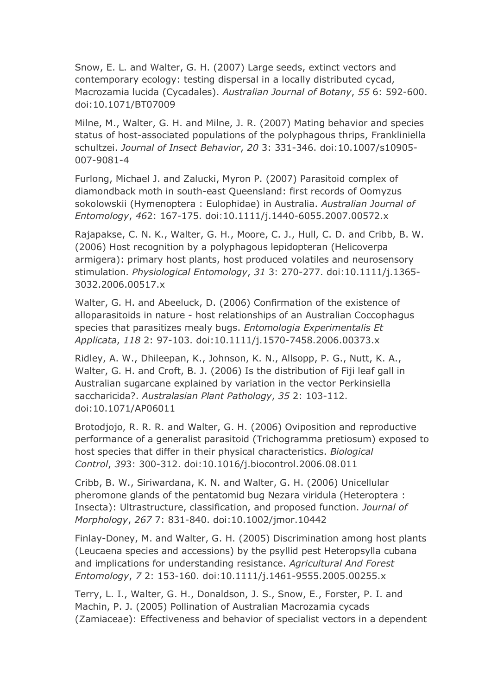Snow, E. L. and Walter, G. H. (2007) Large seeds, extinct vectors and contemporary ecology: testing dispersal in a locally distributed cycad, Macrozamia lucida (Cycadales). *Australian Journal of Botany*, *55* 6: 592-600. doi:10.1071/BT07009

Milne, M., Walter, G. H. and Milne, J. R. (2007) Mating behavior and species status of host-associated populations of the polyphagous thrips, Frankliniella schultzei. *Journal of Insect Behavior*, *20* 3: 331-346. doi:10.1007/s10905- 007-9081-4

Furlong, Michael J. and Zalucki, Myron P. (2007) Parasitoid complex of diamondback moth in south-east Queensland: first records of Oomyzus sokolowskii (Hymenoptera : Eulophidae) in Australia. *Australian Journal of Entomology*, *46*2: 167-175. doi:10.1111/j.1440-6055.2007.00572.x

Rajapakse, C. N. K., Walter, G. H., Moore, C. J., Hull, C. D. and Cribb, B. W. (2006) Host recognition by a polyphagous lepidopteran (Helicoverpa armigera): primary host plants, host produced volatiles and neurosensory stimulation. *Physiological Entomology*, *31* 3: 270-277. doi:10.1111/j.1365- 3032.2006.00517.x

Walter, G. H. and Abeeluck, D. (2006) Confirmation of the existence of alloparasitoids in nature - host relationships of an Australian Coccophagus species that parasitizes mealy bugs. *Entomologia Experimentalis Et Applicata*, *118* 2: 97-103. doi:10.1111/j.1570-7458.2006.00373.x

Ridley, A. W., Dhileepan, K., Johnson, K. N., Allsopp, P. G., Nutt, K. A., Walter, G. H. and Croft, B. J. (2006) Is the distribution of Fiji leaf gall in Australian sugarcane explained by variation in the vector Perkinsiella saccharicida?. *Australasian Plant Pathology*, *35* 2: 103-112. doi:10.1071/AP06011

Brotodjojo, R. R. R. and Walter, G. H. (2006) Oviposition and reproductive performance of a generalist parasitoid (Trichogramma pretiosum) exposed to host species that differ in their physical characteristics. *Biological Control*, *39*3: 300-312. doi:10.1016/j.biocontrol.2006.08.011

Cribb, B. W., Siriwardana, K. N. and Walter, G. H. (2006) Unicellular pheromone glands of the pentatomid bug Nezara viridula (Heteroptera : Insecta): Ultrastructure, classification, and proposed function. *Journal of Morphology*, *267* 7: 831-840. doi:10.1002/jmor.10442

Finlay-Doney, M. and Walter, G. H. (2005) Discrimination among host plants (Leucaena species and accessions) by the psyllid pest Heteropsylla cubana and implications for understanding resistance. *Agricultural And Forest Entomology*, *7* 2: 153-160. doi:10.1111/j.1461-9555.2005.00255.x

Terry, L. I., Walter, G. H., Donaldson, J. S., Snow, E., Forster, P. I. and Machin, P. J. (2005) Pollination of Australian Macrozamia cycads (Zamiaceae): Effectiveness and behavior of specialist vectors in a dependent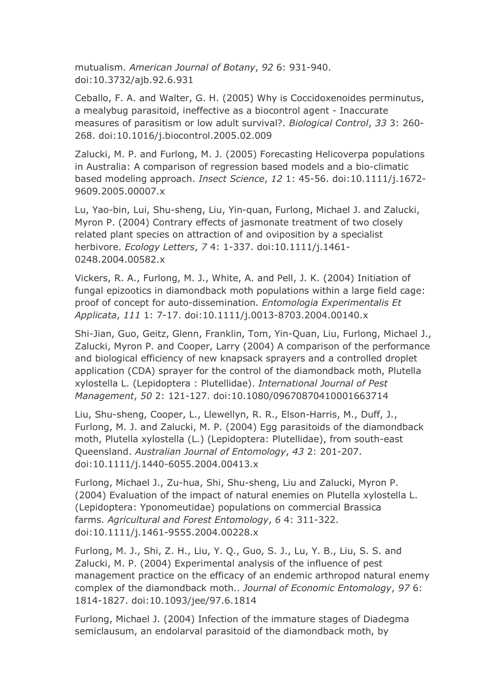mutualism. *American Journal of Botany*, *92* 6: 931-940. doi:10.3732/ajb.92.6.931

Ceballo, F. A. and Walter, G. H. (2005) Why is Coccidoxenoides perminutus, a mealybug parasitoid, ineffective as a biocontrol agent - Inaccurate measures of parasitism or low adult survival?. *Biological Control*, *33* 3: 260- 268. doi:10.1016/j.biocontrol.2005.02.009

Zalucki, M. P. and Furlong, M. J. (2005) Forecasting Helicoverpa populations in Australia: A comparison of regression based models and a bio-climatic based modeling approach. *Insect Science*, *12* 1: 45-56. doi:10.1111/j.1672- 9609.2005.00007.x

Lu, Yao-bin, Lui, Shu-sheng, Liu, Yin-quan, Furlong, Michael J. and Zalucki, Myron P. (2004) Contrary effects of jasmonate treatment of two closely related plant species on attraction of and oviposition by a specialist herbivore. *Ecology Letters*, *7* 4: 1-337. doi:10.1111/j.1461- 0248.2004.00582.x

Vickers, R. A., Furlong, M. J., White, A. and Pell, J. K. (2004) Initiation of fungal epizootics in diamondback moth populations within a large field cage: proof of concept for auto-dissemination. *Entomologia Experimentalis Et Applicata*, *111* 1: 7-17. doi:10.1111/j.0013-8703.2004.00140.x

Shi-Jian, Guo, Geitz, Glenn, Franklin, Tom, Yin-Quan, Liu, Furlong, Michael J., Zalucki, Myron P. and Cooper, Larry (2004) A comparison of the performance and biological efficiency of new knapsack sprayers and a controlled droplet application (CDA) sprayer for the control of the diamondback moth, Plutella xylostella L. (Lepidoptera : Plutellidae). *International Journal of Pest Management*, *50* 2: 121-127. doi:10.1080/09670870410001663714

Liu, Shu-sheng, Cooper, L., Llewellyn, R. R., Elson-Harris, M., Duff, J., Furlong, M. J. and Zalucki, M. P. (2004) Egg parasitoids of the diamondback moth, Plutella xylostella (L.) (Lepidoptera: Plutellidae), from south-east Queensland. *Australian Journal of Entomology*, *43* 2: 201-207. doi:10.1111/j.1440-6055.2004.00413.x

Furlong, Michael J., Zu-hua, Shi, Shu-sheng, Liu and Zalucki, Myron P. (2004) Evaluation of the impact of natural enemies on Plutella xylostella L. (Lepidoptera: Yponomeutidae) populations on commercial Brassica farms. *Agricultural and Forest Entomology*, *6* 4: 311-322. doi:10.1111/j.1461-9555.2004.00228.x

Furlong, M. J., Shi, Z. H., Liu, Y. Q., Guo, S. J., Lu, Y. B., Liu, S. S. and Zalucki, M. P. (2004) Experimental analysis of the influence of pest management practice on the efficacy of an endemic arthropod natural enemy complex of the diamondback moth.. *Journal of Economic Entomology*, *97* 6: 1814-1827. doi:10.1093/jee/97.6.1814

Furlong, Michael J. (2004) Infection of the immature stages of Diadegma semiclausum, an endolarval parasitoid of the diamondback moth, by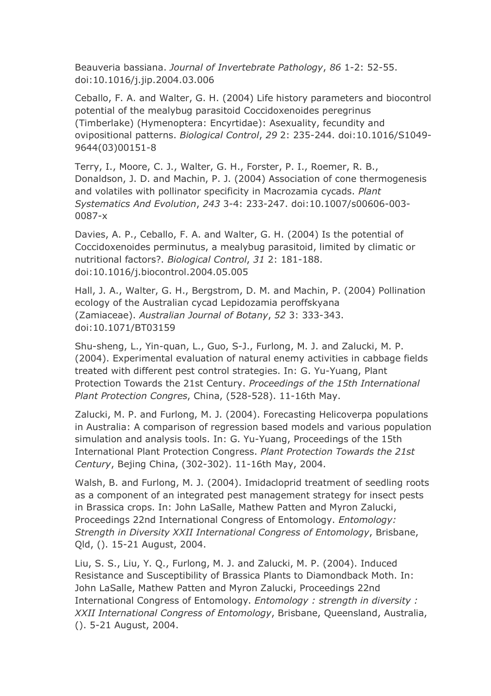Beauveria bassiana. *Journal of Invertebrate Pathology*, *86* 1-2: 52-55. doi:10.1016/j.jip.2004.03.006

Ceballo, F. A. and Walter, G. H. (2004) Life history parameters and biocontrol potential of the mealybug parasitoid Coccidoxenoides peregrinus (Timberlake) (Hymenoptera: Encyrtidae): Asexuality, fecundity and ovipositional patterns. *Biological Control*, *29* 2: 235-244. doi:10.1016/S1049- 9644(03)00151-8

Terry, I., Moore, C. J., Walter, G. H., Forster, P. I., Roemer, R. B., Donaldson, J. D. and Machin, P. J. (2004) Association of cone thermogenesis and volatiles with pollinator specificity in Macrozamia cycads. *Plant Systematics And Evolution*, *243* 3-4: 233-247. doi:10.1007/s00606-003- 0087-x

Davies, A. P., Ceballo, F. A. and Walter, G. H. (2004) Is the potential of Coccidoxenoides perminutus, a mealybug parasitoid, limited by climatic or nutritional factors?. *Biological Control*, *31* 2: 181-188. doi:10.1016/j.biocontrol.2004.05.005

Hall, J. A., Walter, G. H., Bergstrom, D. M. and Machin, P. (2004) Pollination ecology of the Australian cycad Lepidozamia peroffskyana (Zamiaceae). *Australian Journal of Botany*, *52* 3: 333-343. doi:10.1071/BT03159

Shu-sheng, L., Yin-quan, L., Guo, S-J., Furlong, M. J. and Zalucki, M. P. (2004). Experimental evaluation of natural enemy activities in cabbage fields treated with different pest control strategies. In: G. Yu-Yuang, Plant Protection Towards the 21st Century. *Proceedings of the 15th International Plant Protection Congres*, China, (528-528). 11-16th May.

Zalucki, M. P. and Furlong, M. J. (2004). Forecasting Helicoverpa populations in Australia: A comparison of regression based models and various population simulation and analysis tools. In: G. Yu-Yuang, Proceedings of the 15th International Plant Protection Congress. *Plant Protection Towards the 21st Century*, Bejing China, (302-302). 11-16th May, 2004.

Walsh, B. and Furlong, M. J. (2004). Imidacloprid treatment of seedling roots as a component of an integrated pest management strategy for insect pests in Brassica crops. In: John LaSalle, Mathew Patten and Myron Zalucki, Proceedings 22nd International Congress of Entomology. *Entomology: Strength in Diversity XXII International Congress of Entomology*, Brisbane, Qld, (). 15-21 August, 2004.

Liu, S. S., Liu, Y. Q., Furlong, M. J. and Zalucki, M. P. (2004). Induced Resistance and Susceptibility of Brassica Plants to Diamondback Moth. In: John LaSalle, Mathew Patten and Myron Zalucki, Proceedings 22nd International Congress of Entomology. *Entomology : strength in diversity : XXII International Congress of Entomology*, Brisbane, Queensland, Australia, (). 5-21 August, 2004.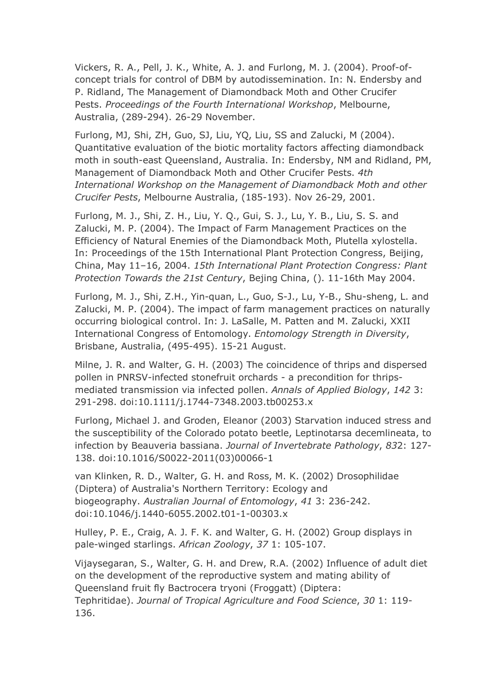Vickers, R. A., Pell, J. K., White, A. J. and Furlong, M. J. (2004). Proof-ofconcept trials for control of DBM by autodissemination. In: N. Endersby and P. Ridland, The Management of Diamondback Moth and Other Crucifer Pests. *Proceedings of the Fourth International Workshop*, Melbourne, Australia, (289-294). 26-29 November.

Furlong, MJ, Shi, ZH, Guo, SJ, Liu, YQ, Liu, SS and Zalucki, M (2004). Quantitative evaluation of the biotic mortality factors affecting diamondback moth in south-east Queensland, Australia. In: Endersby, NM and Ridland, PM, Management of Diamondback Moth and Other Crucifer Pests. *4th International Workshop on the Management of Diamondback Moth and other Crucifer Pests*, Melbourne Australia, (185-193). Nov 26-29, 2001.

Furlong, M. J., Shi, Z. H., Liu, Y. Q., Gui, S. J., Lu, Y. B., Liu, S. S. and Zalucki, M. P. (2004). The Impact of Farm Management Practices on the Efficiency of Natural Enemies of the Diamondback Moth, Plutella xylostella. In: Proceedings of the 15th International Plant Protection Congress, Beijing, China, May 11–16, 2004. *15th International Plant Protection Congress: Plant Protection Towards the 21st Century*, Bejing China, (). 11-16th May 2004.

Furlong, M. J., Shi, Z.H., Yin-quan, L., Guo, S-J., Lu, Y-B., Shu-sheng, L. and Zalucki, M. P. (2004). The impact of farm management practices on naturally occurring biological control. In: J. LaSalle, M. Patten and M. Zalucki, XXII International Congress of Entomology. *Entomology Strength in Diversity*, Brisbane, Australia, (495-495). 15-21 August.

Milne, J. R. and Walter, G. H. (2003) The coincidence of thrips and dispersed pollen in PNRSV-infected stonefruit orchards - a precondition for thripsmediated transmission via infected pollen. *Annals of Applied Biology*, *142* 3: 291-298. doi:10.1111/j.1744-7348.2003.tb00253.x

Furlong, Michael J. and Groden, Eleanor (2003) Starvation induced stress and the susceptibility of the Colorado potato beetle, Leptinotarsa decemlineata, to infection by Beauveria bassiana. *Journal of Invertebrate Pathology*, *83*2: 127- 138. doi:10.1016/S0022-2011(03)00066-1

van Klinken, R. D., Walter, G. H. and Ross, M. K. (2002) Drosophilidae (Diptera) of Australia's Northern Territory: Ecology and biogeography. *Australian Journal of Entomology*, *41* 3: 236-242. doi:10.1046/j.1440-6055.2002.t01-1-00303.x

Hulley, P. E., Craig, A. J. F. K. and Walter, G. H. (2002) Group displays in pale-winged starlings. *African Zoology*, *37* 1: 105-107.

Vijaysegaran, S., Walter, G. H. and Drew, R.A. (2002) Influence of adult diet on the development of the reproductive system and mating ability of Queensland fruit fly Bactrocera tryoni (Froggatt) (Diptera: Tephritidae). *Journal of Tropical Agriculture and Food Science*, *30* 1: 119- 136.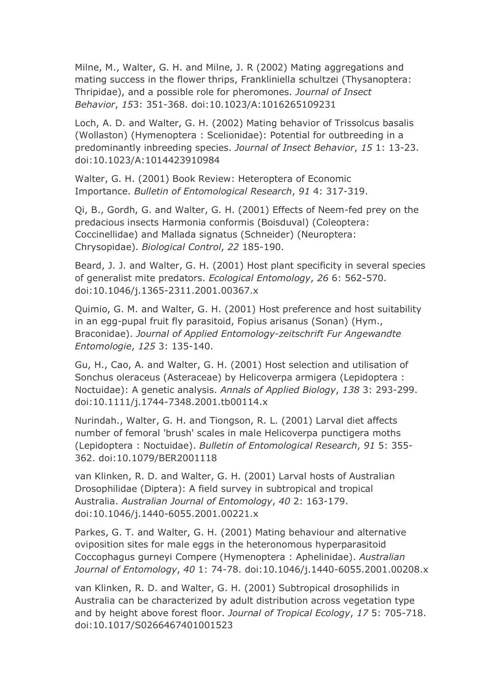Milne, M., Walter, G. H. and Milne, J. R (2002) Mating aggregations and mating success in the flower thrips, Frankliniella schultzei (Thysanoptera: Thripidae), and a possible role for pheromones. *Journal of Insect Behavior*, *15*3: 351-368. doi:10.1023/A:1016265109231

Loch, A. D. and Walter, G. H. (2002) Mating behavior of Trissolcus basalis (Wollaston) (Hymenoptera : Scelionidae): Potential for outbreeding in a predominantly inbreeding species. *Journal of Insect Behavior*, *15* 1: 13-23. doi:10.1023/A:1014423910984

Walter, G. H. (2001) Book Review: Heteroptera of Economic Importance. *Bulletin of Entomological Research*, *91* 4: 317-319.

Qi, B., Gordh, G. and Walter, G. H. (2001) Effects of Neem-fed prey on the predacious insects Harmonia conformis (Boisduval) (Coleoptera: Coccinellidae) and Mallada signatus (Schneider) (Neuroptera: Chrysopidae). *Biological Control*, *22* 185-190.

Beard, J. J. and Walter, G. H. (2001) Host plant specificity in several species of generalist mite predators. *Ecological Entomology*, *26* 6: 562-570. doi:10.1046/j.1365-2311.2001.00367.x

Quimio, G. M. and Walter, G. H. (2001) Host preference and host suitability in an egg-pupal fruit fly parasitoid, Fopius arisanus (Sonan) (Hym., Braconidae). *Journal of Applied Entomology-zeitschrift Fur Angewandte Entomologie*, *125* 3: 135-140.

Gu, H., Cao, A. and Walter, G. H. (2001) Host selection and utilisation of Sonchus oleraceus (Asteraceae) by Helicoverpa armigera (Lepidoptera : Noctuidae): A genetic analysis. *Annals of Applied Biology*, *138* 3: 293-299. doi:10.1111/j.1744-7348.2001.tb00114.x

Nurindah., Walter, G. H. and Tiongson, R. L. (2001) Larval diet affects number of femoral 'brush' scales in male Helicoverpa punctigera moths (Lepidoptera : Noctuidae). *Bulletin of Entomological Research*, *91* 5: 355- 362. doi:10.1079/BER2001118

van Klinken, R. D. and Walter, G. H. (2001) Larval hosts of Australian Drosophilidae (Diptera): A field survey in subtropical and tropical Australia. *Australian Journal of Entomology*, *40* 2: 163-179. doi:10.1046/j.1440-6055.2001.00221.x

Parkes, G. T. and Walter, G. H. (2001) Mating behaviour and alternative oviposition sites for male eggs in the heteronomous hyperparasitoid Coccophagus gurneyi Compere (Hymenoptera : Aphelinidae). *Australian Journal of Entomology*, *40* 1: 74-78. doi:10.1046/j.1440-6055.2001.00208.x

van Klinken, R. D. and Walter, G. H. (2001) Subtropical drosophilids in Australia can be characterized by adult distribution across vegetation type and by height above forest floor. *Journal of Tropical Ecology*, *17* 5: 705-718. doi:10.1017/S0266467401001523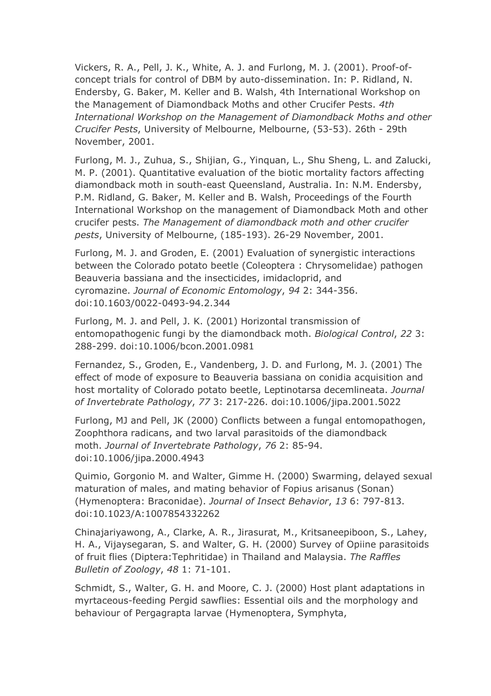Vickers, R. A., Pell, J. K., White, A. J. and Furlong, M. J. (2001). Proof-ofconcept trials for control of DBM by auto-dissemination. In: P. Ridland, N. Endersby, G. Baker, M. Keller and B. Walsh, 4th International Workshop on the Management of Diamondback Moths and other Crucifer Pests. *4th International Workshop on the Management of Diamondback Moths and other Crucifer Pests*, University of Melbourne, Melbourne, (53-53). 26th - 29th November, 2001.

Furlong, M. J., Zuhua, S., Shijian, G., Yinquan, L., Shu Sheng, L. and Zalucki, M. P. (2001). Quantitative evaluation of the biotic mortality factors affecting diamondback moth in south-east Queensland, Australia. In: N.M. Endersby, P.M. Ridland, G. Baker, M. Keller and B. Walsh, Proceedings of the Fourth International Workshop on the management of Diamondback Moth and other crucifer pests. *The Management of diamondback moth and other crucifer pests*, University of Melbourne, (185-193). 26-29 November, 2001.

Furlong, M. J. and Groden, E. (2001) Evaluation of synergistic interactions between the Colorado potato beetle (Coleoptera : Chrysomelidae) pathogen Beauveria bassiana and the insecticides, imidacloprid, and cyromazine. *Journal of Economic Entomology*, *94* 2: 344-356. doi:10.1603/0022-0493-94.2.344

Furlong, M. J. and Pell, J. K. (2001) Horizontal transmission of entomopathogenic fungi by the diamondback moth. *Biological Control*, *22* 3: 288-299. doi:10.1006/bcon.2001.0981

Fernandez, S., Groden, E., Vandenberg, J. D. and Furlong, M. J. (2001) The effect of mode of exposure to Beauveria bassiana on conidia acquisition and host mortality of Colorado potato beetle, Leptinotarsa decemlineata. *Journal of Invertebrate Pathology*, *77* 3: 217-226. doi:10.1006/jipa.2001.5022

Furlong, MJ and Pell, JK (2000) Conflicts between a fungal entomopathogen, Zoophthora radicans, and two larval parasitoids of the diamondback moth. *Journal of Invertebrate Pathology*, *76* 2: 85-94. doi:10.1006/jipa.2000.4943

Quimio, Gorgonio M. and Walter, Gimme H. (2000) Swarming, delayed sexual maturation of males, and mating behavior of Fopius arisanus (Sonan) (Hymenoptera: Braconidae). *Journal of Insect Behavior*, *13* 6: 797-813. doi:10.1023/A:1007854332262

Chinajariyawong, A., Clarke, A. R., Jirasurat, M., Kritsaneepiboon, S., Lahey, H. A., Vijaysegaran, S. and Walter, G. H. (2000) Survey of Opiine parasitoids of fruit flies (Diptera:Tephritidae) in Thailand and Malaysia. *The Raffles Bulletin of Zoology*, *48* 1: 71-101.

Schmidt, S., Walter, G. H. and Moore, C. J. (2000) Host plant adaptations in myrtaceous-feeding Pergid sawflies: Essential oils and the morphology and behaviour of Pergagrapta larvae (Hymenoptera, Symphyta,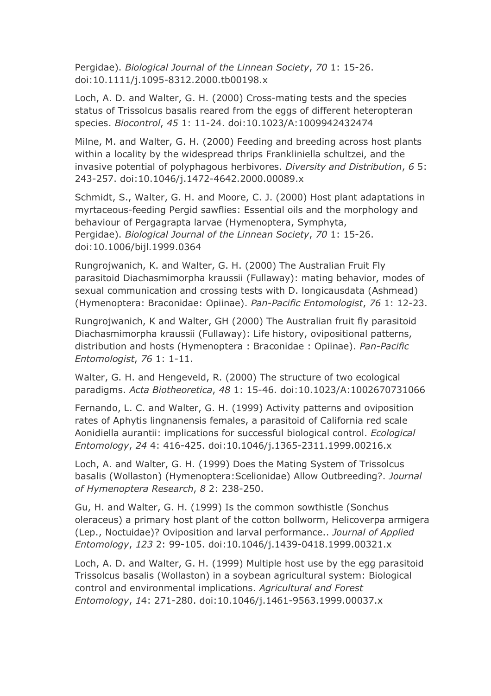Pergidae). *Biological Journal of the Linnean Society*, *70* 1: 15-26. doi:10.1111/j.1095-8312.2000.tb00198.x

Loch, A. D. and Walter, G. H. (2000) Cross-mating tests and the species status of Trissolcus basalis reared from the eggs of different heteropteran species. *Biocontrol*, *45* 1: 11-24. doi:10.1023/A:1009942432474

Milne, M. and Walter, G. H. (2000) Feeding and breeding across host plants within a locality by the widespread thrips Frankliniella schultzei, and the invasive potential of polyphagous herbivores. *Diversity and Distribution*, *6* 5: 243-257. doi:10.1046/j.1472-4642.2000.00089.x

Schmidt, S., Walter, G. H. and Moore, C. J. (2000) Host plant adaptations in myrtaceous-feeding Pergid sawflies: Essential oils and the morphology and behaviour of Pergagrapta larvae (Hymenoptera, Symphyta, Pergidae). *Biological Journal of the Linnean Society*, *70* 1: 15-26. doi:10.1006/bijl.1999.0364

Rungrojwanich, K. and Walter, G. H. (2000) The Australian Fruit Fly parasitoid Diachasmimorpha kraussii (Fullaway): mating behavior, modes of sexual communication and crossing tests with D. longicausdata (Ashmead) (Hymenoptera: Braconidae: Opiinae). *Pan-Pacific Entomologist*, *76* 1: 12-23.

Rungrojwanich, K and Walter, GH (2000) The Australian fruit fly parasitoid Diachasmimorpha kraussii (Fullaway): Life history, ovipositional patterns, distribution and hosts (Hymenoptera : Braconidae : Opiinae). *Pan-Pacific Entomologist*, *76* 1: 1-11.

Walter, G. H. and Hengeveld, R. (2000) The structure of two ecological paradigms. *Acta Biotheoretica*, *48* 1: 15-46. doi:10.1023/A:1002670731066

Fernando, L. C. and Walter, G. H. (1999) Activity patterns and oviposition rates of Aphytis lingnanensis females, a parasitoid of California red scale Aonidiella aurantii: implications for successful biological control. *Ecological Entomology*, *24* 4: 416-425. doi:10.1046/j.1365-2311.1999.00216.x

Loch, A. and Walter, G. H. (1999) Does the Mating System of Trissolcus basalis (Wollaston) (Hymenoptera:Scelionidae) Allow Outbreeding?. *Journal of Hymenoptera Research*, *8* 2: 238-250.

Gu, H. and Walter, G. H. (1999) Is the common sowthistle (Sonchus oleraceus) a primary host plant of the cotton bollworm, Helicoverpa armigera (Lep., Noctuidae)? Oviposition and larval performance.. *Journal of Applied Entomology*, *123* 2: 99-105. doi:10.1046/j.1439-0418.1999.00321.x

Loch, A. D. and Walter, G. H. (1999) Multiple host use by the egg parasitoid Trissolcus basalis (Wollaston) in a soybean agricultural system: Biological control and environmental implications. *Agricultural and Forest Entomology*, *1*4: 271-280. doi:10.1046/j.1461-9563.1999.00037.x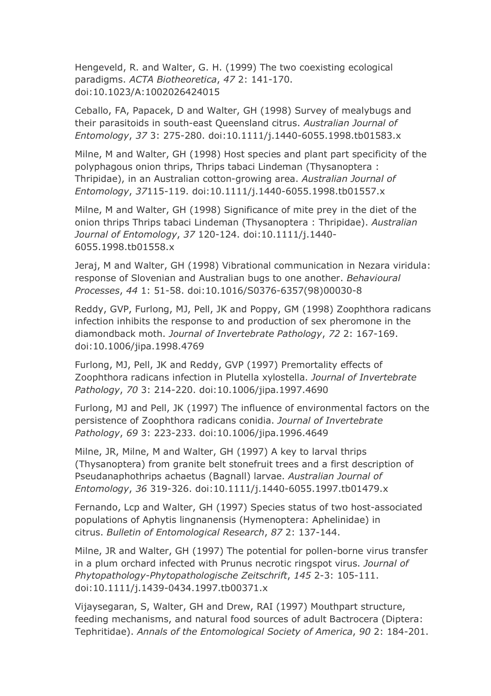Hengeveld, R. and Walter, G. H. (1999) The two coexisting ecological paradigms. *ACTA Biotheoretica*, *47* 2: 141-170. doi:10.1023/A:1002026424015

Ceballo, FA, Papacek, D and Walter, GH (1998) Survey of mealybugs and their parasitoids in south-east Queensland citrus. *Australian Journal of Entomology*, *37* 3: 275-280. doi:10.1111/j.1440-6055.1998.tb01583.x

Milne, M and Walter, GH (1998) Host species and plant part specificity of the polyphagous onion thrips, Thrips tabaci Lindeman (Thysanoptera : Thripidae), in an Australian cotton-growing area. *Australian Journal of Entomology*, *37*115-119. doi:10.1111/j.1440-6055.1998.tb01557.x

Milne, M and Walter, GH (1998) Significance of mite prey in the diet of the onion thrips Thrips tabaci Lindeman (Thysanoptera : Thripidae). *Australian Journal of Entomology*, *37* 120-124. doi:10.1111/j.1440- 6055.1998.tb01558.x

Jeraj, M and Walter, GH (1998) Vibrational communication in Nezara viridula: response of Slovenian and Australian bugs to one another. *Behavioural Processes*, *44* 1: 51-58. doi:10.1016/S0376-6357(98)00030-8

Reddy, GVP, Furlong, MJ, Pell, JK and Poppy, GM (1998) Zoophthora radicans infection inhibits the response to and production of sex pheromone in the diamondback moth. *Journal of Invertebrate Pathology*, *72* 2: 167-169. doi:10.1006/jipa.1998.4769

Furlong, MJ, Pell, JK and Reddy, GVP (1997) Premortality effects of Zoophthora radicans infection in Plutella xylostella. *Journal of Invertebrate Pathology*, *70* 3: 214-220. doi:10.1006/jipa.1997.4690

Furlong, MJ and Pell, JK (1997) The influence of environmental factors on the persistence of Zoophthora radicans conidia. *Journal of Invertebrate Pathology*, *69* 3: 223-233. doi:10.1006/jipa.1996.4649

Milne, JR, Milne, M and Walter, GH (1997) A key to larval thrips (Thysanoptera) from granite belt stonefruit trees and a first description of Pseudanaphothrips achaetus (Bagnall) larvae. *Australian Journal of Entomology*, *36* 319-326. doi:10.1111/j.1440-6055.1997.tb01479.x

Fernando, Lcp and Walter, GH (1997) Species status of two host-associated populations of Aphytis lingnanensis (Hymenoptera: Aphelinidae) in citrus. *Bulletin of Entomological Research*, *87* 2: 137-144.

Milne, JR and Walter, GH (1997) The potential for pollen-borne virus transfer in a plum orchard infected with Prunus necrotic ringspot virus. *Journal of Phytopathology-Phytopathologische Zeitschrift*, *145* 2-3: 105-111. doi:10.1111/j.1439-0434.1997.tb00371.x

Vijaysegaran, S, Walter, GH and Drew, RAI (1997) Mouthpart structure, feeding mechanisms, and natural food sources of adult Bactrocera (Diptera: Tephritidae). *Annals of the Entomological Society of America*, *90* 2: 184-201.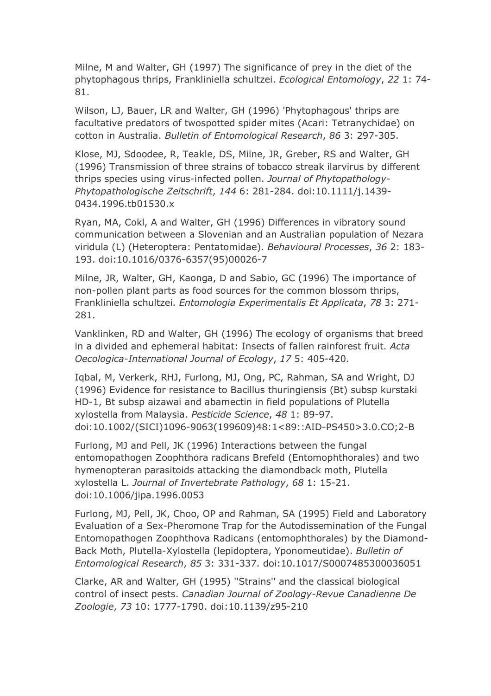Milne, M and Walter, GH (1997) The significance of prey in the diet of the phytophagous thrips, Frankliniella schultzei. *Ecological Entomology*, *22* 1: 74- 81.

Wilson, LJ, Bauer, LR and Walter, GH (1996) 'Phytophagous' thrips are facultative predators of twospotted spider mites (Acari: Tetranychidae) on cotton in Australia. *Bulletin of Entomological Research*, *86* 3: 297-305.

Klose, MJ, Sdoodee, R, Teakle, DS, Milne, JR, Greber, RS and Walter, GH (1996) Transmission of three strains of tobacco streak ilarvirus by different thrips species using virus-infected pollen. *Journal of Phytopathology-Phytopathologische Zeitschrift*, *144* 6: 281-284. doi:10.1111/j.1439- 0434.1996.tb01530.x

Ryan, MA, Cokl, A and Walter, GH (1996) Differences in vibratory sound communication between a Slovenian and an Australian population of Nezara viridula (L) (Heteroptera: Pentatomidae). *Behavioural Processes*, *36* 2: 183- 193. doi:10.1016/0376-6357(95)00026-7

Milne, JR, Walter, GH, Kaonga, D and Sabio, GC (1996) The importance of non-pollen plant parts as food sources for the common blossom thrips, Frankliniella schultzei. *Entomologia Experimentalis Et Applicata*, *78* 3: 271- 281.

Vanklinken, RD and Walter, GH (1996) The ecology of organisms that breed in a divided and ephemeral habitat: Insects of fallen rainforest fruit. *Acta Oecologica-International Journal of Ecology*, *17* 5: 405-420.

Iqbal, M, Verkerk, RHJ, Furlong, MJ, Ong, PC, Rahman, SA and Wright, DJ (1996) Evidence for resistance to Bacillus thuringiensis (Bt) subsp kurstaki HD-1, Bt subsp aizawai and abamectin in field populations of Plutella xylostella from Malaysia. *Pesticide Science*, *48* 1: 89-97. doi:10.1002/(SICI)1096-9063(199609)48:1<89::AID-PS450>3.0.CO;2-B

Furlong, MJ and Pell, JK (1996) Interactions between the fungal entomopathogen Zoophthora radicans Brefeld (Entomophthorales) and two hymenopteran parasitoids attacking the diamondback moth, Plutella xylostella L. *Journal of Invertebrate Pathology*, *68* 1: 15-21. doi:10.1006/jipa.1996.0053

Furlong, MJ, Pell, JK, Choo, OP and Rahman, SA (1995) Field and Laboratory Evaluation of a Sex-Pheromone Trap for the Autodissemination of the Fungal Entomopathogen Zoophthova Radicans (entomophthorales) by the Diamond-Back Moth, Plutella-Xylostella (lepidoptera, Yponomeutidae). *Bulletin of Entomological Research*, *85* 3: 331-337. doi:10.1017/S0007485300036051

Clarke, AR and Walter, GH (1995) ''Strains'' and the classical biological control of insect pests. *Canadian Journal of Zoology-Revue Canadienne De Zoologie*, *73* 10: 1777-1790. doi:10.1139/z95-210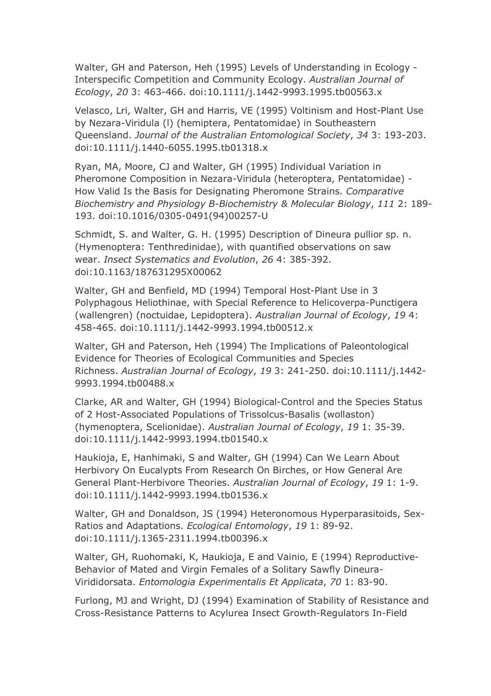Walter, GH and Paterson, Heh (1995) Levels of Understanding in Ecology - Interspecific Competition and Community Ecology. *Australian Journal of Ecology*, *20* 3: 463-466. doi:10.1111/j.1442-9993.1995.tb00563.x

Velasco, Lri, Walter, GH and Harris, VE (1995) Voltinism and Host-Plant Use by Nezara-Viridula (l) (hemiptera, Pentatomidae) in Southeastern Queensland. *Journal of the Australian Entomological Society*, *34* 3: 193-203. doi:10.1111/j.1440-6055.1995.tb01318.x

Ryan, MA, Moore, CJ and Walter, GH (1995) Individual Variation in Pheromone Composition in Nezara-Viridula (heteroptera, Pentatomidae) - How Valid Is the Basis for Designating Pheromone Strains. *Comparative Biochemistry and Physiology B-Biochemistry & Molecular Biology*, *111* 2: 189- 193. doi:10.1016/0305-0491(94)00257-U

Schmidt, S. and Walter, G. H. (1995) Description of Dineura pullior sp. n. (Hymenoptera: Tenthredinidae), with quantified observations on saw wear. *Insect Systematics and Evolution*, *26* 4: 385-392. doi:10.1163/187631295X00062

Walter, GH and Benfield, MD (1994) Temporal Host-Plant Use in 3 Polyphagous Heliothinae, with Special Reference to Helicoverpa-Punctigera (wallengren) (noctuidae, Lepidoptera). *Australian Journal of Ecology*, *19* 4: 458-465. doi:10.1111/j.1442-9993.1994.tb00512.x

Walter, GH and Paterson, Heh (1994) The Implications of Paleontological Evidence for Theories of Ecological Communities and Species Richness. *Australian Journal of Ecology*, *19* 3: 241-250. doi:10.1111/j.1442- 9993.1994.tb00488.x

Clarke, AR and Walter, GH (1994) Biological-Control and the Species Status of 2 Host-Associated Populations of Trissolcus-Basalis (wollaston) (hymenoptera, Scelionidae). *Australian Journal of Ecology*, *19* 1: 35-39. doi:10.1111/j.1442-9993.1994.tb01540.x

Haukioja, E, Hanhimaki, S and Walter, GH (1994) Can We Learn About Herbivory On Eucalypts From Research On Birches, or How General Are General Plant-Herbivore Theories. *Australian Journal of Ecology*, *19* 1: 1-9. doi:10.1111/j.1442-9993.1994.tb01536.x

Walter, GH and Donaldson, JS (1994) Heteronomous Hyperparasitoids, Sex-Ratios and Adaptations. *Ecological Entomology*, *19* 1: 89-92. doi:10.1111/j.1365-2311.1994.tb00396.x

Walter, GH, Ruohomaki, K, Haukioja, E and Vainio, E (1994) Reproductive-Behavior of Mated and Virgin Females of a Solitary Sawfly Dineura-Virididorsata. *Entomologia Experimentalis Et Applicata*, *70* 1: 83-90.

Furlong, MJ and Wright, DJ (1994) Examination of Stability of Resistance and Cross-Resistance Patterns to Acylurea Insect Growth-Regulators In-Field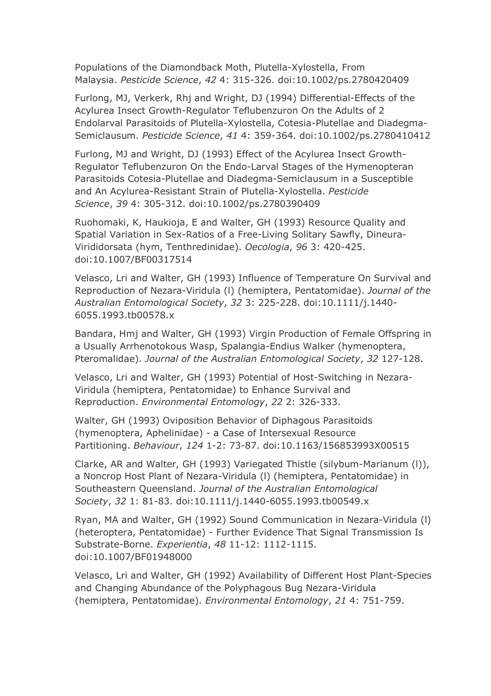Populations of the Diamondback Moth, Plutella-Xylostella, From Malaysia. *Pesticide Science*, *42* 4: 315-326. doi:10.1002/ps.2780420409

Furlong, MJ, Verkerk, Rhj and Wright, DJ (1994) Differential-Effects of the Acylurea Insect Growth-Regulator Teflubenzuron On the Adults of 2 Endolarval Parasitoids of Plutella-Xylostella, Cotesia-Plutellae and Diadegma-Semiclausum. *Pesticide Science*, *41* 4: 359-364. doi:10.1002/ps.2780410412

Furlong, MJ and Wright, DJ (1993) Effect of the Acylurea Insect Growth-Regulator Teflubenzuron On the Endo-Larval Stages of the Hymenopteran Parasitoids Cotesia-Plutellae and Diadegma-Semiclausum in a Susceptible and An Acylurea-Resistant Strain of Plutella-Xylostella. *Pesticide Science*, *39* 4: 305-312. doi:10.1002/ps.2780390409

Ruohomaki, K, Haukioja, E and Walter, GH (1993) Resource Quality and Spatial Variation in Sex-Ratios of a Free-Living Solitary Sawfly, Dineura-Virididorsata (hym, Tenthredinidae). *Oecologia*, *96* 3: 420-425. doi:10.1007/BF00317514

Velasco, Lri and Walter, GH (1993) Influence of Temperature On Survival and Reproduction of Nezara-Viridula (l) (hemiptera, Pentatomidae). *Journal of the Australian Entomological Society*, *32* 3: 225-228. doi:10.1111/j.1440- 6055.1993.tb00578.x

Bandara, Hmj and Walter, GH (1993) Virgin Production of Female Offspring in a Usually Arrhenotokous Wasp, Spalangia-Endius Walker (hymenoptera, Pteromalidae). *Journal of the Australian Entomological Society*, *32* 127-128.

Velasco, Lri and Walter, GH (1993) Potential of Host-Switching in Nezara-Viridula (hemiptera, Pentatomidae) to Enhance Survival and Reproduction. *Environmental Entomology*, *22* 2: 326-333.

Walter, GH (1993) Oviposition Behavior of Diphagous Parasitoids (hymenoptera, Aphelinidae) - a Case of Intersexual Resource Partitioning. *Behaviour*, *124* 1-2: 73-87. doi:10.1163/156853993X00515

Clarke, AR and Walter, GH (1993) Variegated Thistle (silybum-Marianum (l)), a Noncrop Host Plant of Nezara-Viridula (l) (hemiptera, Pentatomidae) in Southeastern Queensland. *Journal of the Australian Entomological Society*, *32* 1: 81-83. doi:10.1111/j.1440-6055.1993.tb00549.x

Ryan, MA and Walter, GH (1992) Sound Communication in Nezara-Viridula (l) (heteroptera, Pentatomidae) - Further Evidence That Signal Transmission Is Substrate-Borne. *Experientia*, *48* 11-12: 1112-1115. doi:10.1007/BF01948000

Velasco, Lri and Walter, GH (1992) Availability of Different Host Plant-Species and Changing Abundance of the Polyphagous Bug Nezara-Viridula (hemiptera, Pentatomidae). *Environmental Entomology*, *21* 4: 751-759.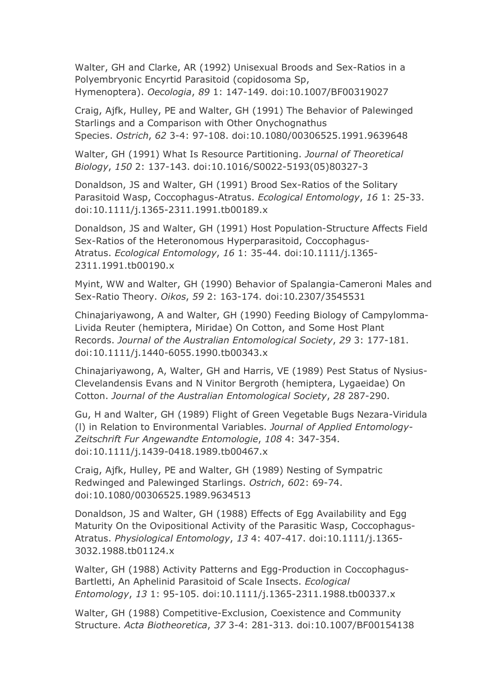Walter, GH and Clarke, AR (1992) Unisexual Broods and Sex-Ratios in a Polyembryonic Encyrtid Parasitoid (copidosoma Sp, Hymenoptera). *Oecologia*, *89* 1: 147-149. doi:10.1007/BF00319027

Craig, Ajfk, Hulley, PE and Walter, GH (1991) The Behavior of Palewinged Starlings and a Comparison with Other Onychognathus Species. *Ostrich*, *62* 3-4: 97-108. doi:10.1080/00306525.1991.9639648

Walter, GH (1991) What Is Resource Partitioning. *Journal of Theoretical Biology*, *150* 2: 137-143. doi:10.1016/S0022-5193(05)80327-3

Donaldson, JS and Walter, GH (1991) Brood Sex-Ratios of the Solitary Parasitoid Wasp, Coccophagus-Atratus. *Ecological Entomology*, *16* 1: 25-33. doi:10.1111/j.1365-2311.1991.tb00189.x

Donaldson, JS and Walter, GH (1991) Host Population-Structure Affects Field Sex-Ratios of the Heteronomous Hyperparasitoid, Coccophagus-Atratus. *Ecological Entomology*, *16* 1: 35-44. doi:10.1111/j.1365- 2311.1991.tb00190.x

Myint, WW and Walter, GH (1990) Behavior of Spalangia-Cameroni Males and Sex-Ratio Theory. *Oikos*, *59* 2: 163-174. doi:10.2307/3545531

Chinajariyawong, A and Walter, GH (1990) Feeding Biology of Campylomma-Livida Reuter (hemiptera, Miridae) On Cotton, and Some Host Plant Records. *Journal of the Australian Entomological Society*, *29* 3: 177-181. doi:10.1111/j.1440-6055.1990.tb00343.x

Chinajariyawong, A, Walter, GH and Harris, VE (1989) Pest Status of Nysius-Clevelandensis Evans and N Vinitor Bergroth (hemiptera, Lygaeidae) On Cotton. *Journal of the Australian Entomological Society*, *28* 287-290.

Gu, H and Walter, GH (1989) Flight of Green Vegetable Bugs Nezara-Viridula (l) in Relation to Environmental Variables. *Journal of Applied Entomology-Zeitschrift Fur Angewandte Entomologie*, *108* 4: 347-354. doi:10.1111/j.1439-0418.1989.tb00467.x

Craig, Ajfk, Hulley, PE and Walter, GH (1989) Nesting of Sympatric Redwinged and Palewinged Starlings. *Ostrich*, *60*2: 69-74. doi:10.1080/00306525.1989.9634513

Donaldson, JS and Walter, GH (1988) Effects of Egg Availability and Egg Maturity On the Ovipositional Activity of the Parasitic Wasp, Coccophagus-Atratus. *Physiological Entomology*, *13* 4: 407-417. doi:10.1111/j.1365- 3032.1988.tb01124.x

Walter, GH (1988) Activity Patterns and Egg-Production in Coccophagus-Bartletti, An Aphelinid Parasitoid of Scale Insects. *Ecological Entomology*, *13* 1: 95-105. doi:10.1111/j.1365-2311.1988.tb00337.x

Walter, GH (1988) Competitive-Exclusion, Coexistence and Community Structure. *Acta Biotheoretica*, *37* 3-4: 281-313. doi:10.1007/BF00154138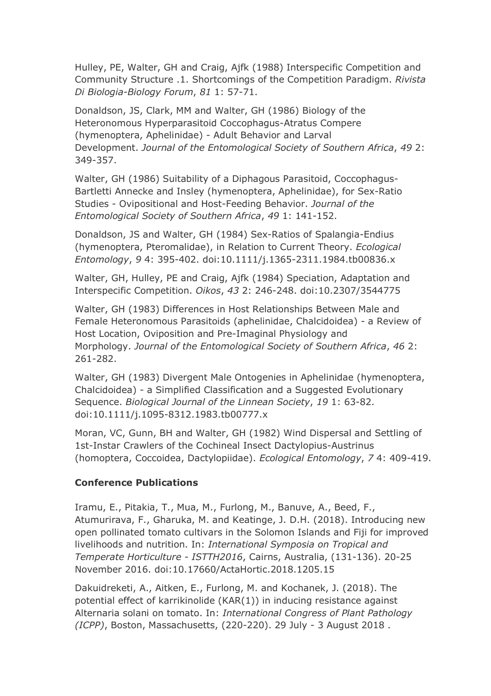Hulley, PE, Walter, GH and Craig, Ajfk (1988) Interspecific Competition and Community Structure .1. Shortcomings of the Competition Paradigm. *Rivista Di Biologia-Biology Forum*, *81* 1: 57-71.

Donaldson, JS, Clark, MM and Walter, GH (1986) Biology of the Heteronomous Hyperparasitoid Coccophagus-Atratus Compere (hymenoptera, Aphelinidae) - Adult Behavior and Larval Development. *Journal of the Entomological Society of Southern Africa*, *49* 2: 349-357.

Walter, GH (1986) Suitability of a Diphagous Parasitoid, Coccophagus-Bartletti Annecke and Insley (hymenoptera, Aphelinidae), for Sex-Ratio Studies - Ovipositional and Host-Feeding Behavior. *Journal of the Entomological Society of Southern Africa*, *49* 1: 141-152.

Donaldson, JS and Walter, GH (1984) Sex-Ratios of Spalangia-Endius (hymenoptera, Pteromalidae), in Relation to Current Theory. *Ecological Entomology*, *9* 4: 395-402. doi:10.1111/j.1365-2311.1984.tb00836.x

Walter, GH, Hulley, PE and Craig, Ajfk (1984) Speciation, Adaptation and Interspecific Competition. *Oikos*, *43* 2: 246-248. doi:10.2307/3544775

Walter, GH (1983) Differences in Host Relationships Between Male and Female Heteronomous Parasitoids (aphelinidae, Chalcidoidea) - a Review of Host Location, Oviposition and Pre-Imaginal Physiology and Morphology. *Journal of the Entomological Society of Southern Africa*, *46* 2: 261-282.

Walter, GH (1983) Divergent Male Ontogenies in Aphelinidae (hymenoptera, Chalcidoidea) - a Simplified Classification and a Suggested Evolutionary Sequence. *Biological Journal of the Linnean Society*, *19* 1: 63-82. doi:10.1111/j.1095-8312.1983.tb00777.x

Moran, VC, Gunn, BH and Walter, GH (1982) Wind Dispersal and Settling of 1st-Instar Crawlers of the Cochineal Insect Dactylopius-Austrinus (homoptera, Coccoidea, Dactylopiidae). *Ecological Entomology*, *7* 4: 409-419.

#### **Conference Publications**

Iramu, E., Pitakia, T., Mua, M., Furlong, M., Banuve, A., Beed, F., Atumurirava, F., Gharuka, M. and Keatinge, J. D.H. (2018). Introducing new open pollinated tomato cultivars in the Solomon Islands and Fiji for improved livelihoods and nutrition. In: *International Symposia on Tropical and Temperate Horticulture - ISTTH2016*, Cairns, Australia, (131-136). 20-25 November 2016. doi:10.17660/ActaHortic.2018.1205.15

Dakuidreketi, A., Aitken, E., Furlong, M. and Kochanek, J. (2018). The potential effect of karrikinolide (KAR(1)) in inducing resistance against Alternaria solani on tomato. In: *International Congress of Plant Pathology (ICPP)*, Boston, Massachusetts, (220-220). 29 July - 3 August 2018 .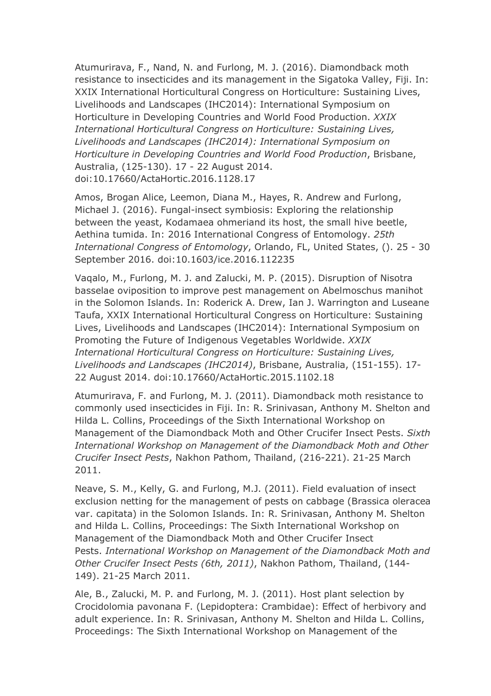Atumurirava, F., Nand, N. and Furlong, M. J. (2016). Diamondback moth resistance to insecticides and its management in the Sigatoka Valley, Fiji. In: XXIX International Horticultural Congress on Horticulture: Sustaining Lives, Livelihoods and Landscapes (IHC2014): International Symposium on Horticulture in Developing Countries and World Food Production. *XXIX International Horticultural Congress on Horticulture: Sustaining Lives, Livelihoods and Landscapes (IHC2014): International Symposium on Horticulture in Developing Countries and World Food Production*, Brisbane, Australia, (125-130). 17 - 22 August 2014. doi:10.17660/ActaHortic.2016.1128.17

Amos, Brogan Alice, Leemon, Diana M., Hayes, R. Andrew and Furlong, Michael J. (2016). Fungal-insect symbiosis: Exploring the relationship between the yeast, Kodamaea ohmeriand its host, the small hive beetle, Aethina tumida. In: 2016 International Congress of Entomology. *25th International Congress of Entomology*, Orlando, FL, United States, (). 25 - 30 September 2016. doi:10.1603/ice.2016.112235

Vaqalo, M., Furlong, M. J. and Zalucki, M. P. (2015). Disruption of Nisotra basselae oviposition to improve pest management on Abelmoschus manihot in the Solomon Islands. In: Roderick A. Drew, Ian J. Warrington and Luseane Taufa, XXIX International Horticultural Congress on Horticulture: Sustaining Lives, Livelihoods and Landscapes (IHC2014): International Symposium on Promoting the Future of Indigenous Vegetables Worldwide. *XXIX International Horticultural Congress on Horticulture: Sustaining Lives, Livelihoods and Landscapes (IHC2014)*, Brisbane, Australia, (151-155). 17- 22 August 2014. doi:10.17660/ActaHortic.2015.1102.18

Atumurirava, F. and Furlong, M. J. (2011). Diamondback moth resistance to commonly used insecticides in Fiji. In: R. Srinivasan, Anthony M. Shelton and Hilda L. Collins, Proceedings of the Sixth International Workshop on Management of the Diamondback Moth and Other Crucifer Insect Pests. *Sixth International Workshop on Management of the Diamondback Moth and Other Crucifer Insect Pests*, Nakhon Pathom, Thailand, (216-221). 21-25 March 2011.

Neave, S. M., Kelly, G. and Furlong, M.J. (2011). Field evaluation of insect exclusion netting for the management of pests on cabbage (Brassica oleracea var. capitata) in the Solomon Islands. In: R. Srinivasan, Anthony M. Shelton and Hilda L. Collins, Proceedings: The Sixth International Workshop on Management of the Diamondback Moth and Other Crucifer Insect Pests. *International Workshop on Management of the Diamondback Moth and Other Crucifer Insect Pests (6th, 2011)*, Nakhon Pathom, Thailand, (144- 149). 21-25 March 2011.

Ale, B., Zalucki, M. P. and Furlong, M. J. (2011). Host plant selection by Crocidolomia pavonana F. (Lepidoptera: Crambidae): Effect of herbivory and adult experience. In: R. Srinivasan, Anthony M. Shelton and Hilda L. Collins, Proceedings: The Sixth International Workshop on Management of the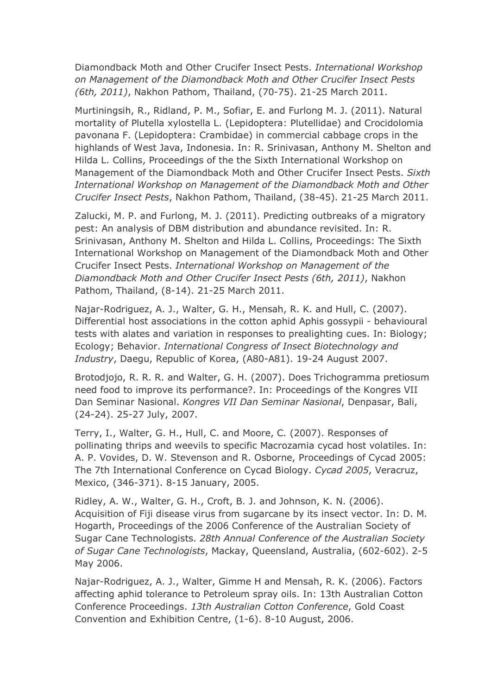Diamondback Moth and Other Crucifer Insect Pests. *International Workshop on Management of the Diamondback Moth and Other Crucifer Insect Pests (6th, 2011)*, Nakhon Pathom, Thailand, (70-75). 21-25 March 2011.

Murtiningsih, R., Ridland, P. M., Sofiar, E. and Furlong M. J. (2011). Natural mortality of Plutella xylostella L. (Lepidoptera: Plutellidae) and Crocidolomia pavonana F. (Lepidoptera: Crambidae) in commercial cabbage crops in the highlands of West Java, Indonesia. In: R. Srinivasan, Anthony M. Shelton and Hilda L. Collins, Proceedings of the the Sixth International Workshop on Management of the Diamondback Moth and Other Crucifer Insect Pests. *Sixth International Workshop on Management of the Diamondback Moth and Other Crucifer Insect Pests*, Nakhon Pathom, Thailand, (38-45). 21-25 March 2011.

Zalucki, M. P. and Furlong, M. J. (2011). Predicting outbreaks of a migratory pest: An analysis of DBM distribution and abundance revisited. In: R. Srinivasan, Anthony M. Shelton and Hilda L. Collins, Proceedings: The Sixth International Workshop on Management of the Diamondback Moth and Other Crucifer Insect Pests. *International Workshop on Management of the Diamondback Moth and Other Crucifer Insect Pests (6th, 2011)*, Nakhon Pathom, Thailand, (8-14). 21-25 March 2011.

Najar-Rodriguez, A. J., Walter, G. H., Mensah, R. K. and Hull, C. (2007). Differential host associations in the cotton aphid Aphis gossypii - behavioural tests with alates and variation in responses to prealighting cues. In: Biology; Ecology; Behavior. *International Congress of Insect Biotechnology and Industry*, Daegu, Republic of Korea, (A80-A81). 19-24 August 2007.

Brotodjojo, R. R. R. and Walter, G. H. (2007). Does Trichogramma pretiosum need food to improve its performance?. In: Proceedings of the Kongres VII Dan Seminar Nasional. *Kongres VII Dan Seminar Nasional*, Denpasar, Bali, (24-24). 25-27 July, 2007.

Terry, I., Walter, G. H., Hull, C. and Moore, C. (2007). Responses of pollinating thrips and weevils to specific Macrozamia cycad host volatiles. In: A. P. Vovides, D. W. Stevenson and R. Osborne, Proceedings of Cycad 2005: The 7th International Conference on Cycad Biology. *Cycad 2005*, Veracruz, Mexico, (346-371). 8-15 January, 2005.

Ridley, A. W., Walter, G. H., Croft, B. J. and Johnson, K. N. (2006). Acquisition of Fiji disease virus from sugarcane by its insect vector. In: D. M. Hogarth, Proceedings of the 2006 Conference of the Australian Society of Sugar Cane Technologists. *28th Annual Conference of the Australian Society of Sugar Cane Technologists*, Mackay, Queensland, Australia, (602-602). 2-5 May 2006.

Najar-Rodriguez, A. J., Walter, Gimme H and Mensah, R. K. (2006). Factors affecting aphid tolerance to Petroleum spray oils. In: 13th Australian Cotton Conference Proceedings. *13th Australian Cotton Conference*, Gold Coast Convention and Exhibition Centre, (1-6). 8-10 August, 2006.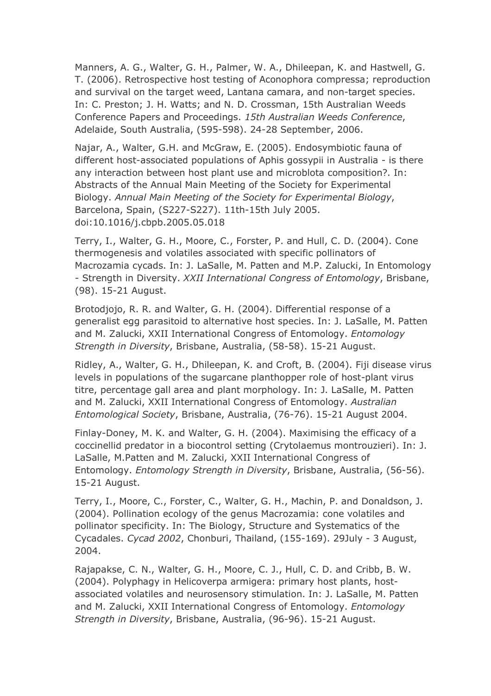Manners, A. G., Walter, G. H., Palmer, W. A., Dhileepan, K. and Hastwell, G. T. (2006). Retrospective host testing of Aconophora compressa; reproduction and survival on the target weed, Lantana camara, and non-target species. In: C. Preston; J. H. Watts; and N. D. Crossman, 15th Australian Weeds Conference Papers and Proceedings. *15th Australian Weeds Conference*, Adelaide, South Australia, (595-598). 24-28 September, 2006.

Najar, A., Walter, G.H. and McGraw, E. (2005). Endosymbiotic fauna of different host-associated populations of Aphis gossypii in Australia - is there any interaction between host plant use and microblota composition?. In: Abstracts of the Annual Main Meeting of the Society for Experimental Biology. *Annual Main Meeting of the Society for Experimental Biology*, Barcelona, Spain, (S227-S227). 11th-15th July 2005. doi:10.1016/j.cbpb.2005.05.018

Terry, I., Walter, G. H., Moore, C., Forster, P. and Hull, C. D. (2004). Cone thermogenesis and volatiles associated with specific pollinators of Macrozamia cycads. In: J. LaSalle, M. Patten and M.P. Zalucki, In Entomology - Strength in Diversity. *XXII International Congress of Entomology*, Brisbane, (98). 15-21 August.

Brotodjojo, R. R. and Walter, G. H. (2004). Differential response of a generalist egg parasitoid to alternative host species. In: J. LaSalle, M. Patten and M. Zalucki, XXII International Congress of Entomology. *Entomology Strength in Diversity*, Brisbane, Australia, (58-58). 15-21 August.

Ridley, A., Walter, G. H., Dhileepan, K. and Croft, B. (2004). Fiji disease virus levels in populations of the sugarcane planthopper role of host-plant virus titre, percentage gall area and plant morphology. In: J. LaSalle, M. Patten and M. Zalucki, XXII International Congress of Entomology. *Australian Entomological Society*, Brisbane, Australia, (76-76). 15-21 August 2004.

Finlay-Doney, M. K. and Walter, G. H. (2004). Maximising the efficacy of a coccinellid predator in a biocontrol setting (Crytolaemus montrouzieri). In: J. LaSalle, M.Patten and M. Zalucki, XXII International Congress of Entomology. *Entomology Strength in Diversity*, Brisbane, Australia, (56-56). 15-21 August.

Terry, I., Moore, C., Forster, C., Walter, G. H., Machin, P. and Donaldson, J. (2004). Pollination ecology of the genus Macrozamia: cone volatiles and pollinator specificity. In: The Biology, Structure and Systematics of the Cycadales. *Cycad 2002*, Chonburi, Thailand, (155-169). 29July - 3 August, 2004.

Rajapakse, C. N., Walter, G. H., Moore, C. J., Hull, C. D. and Cribb, B. W. (2004). Polyphagy in Helicoverpa armigera: primary host plants, hostassociated volatiles and neurosensory stimulation. In: J. LaSalle, M. Patten and M. Zalucki, XXII International Congress of Entomology. *Entomology Strength in Diversity*, Brisbane, Australia, (96-96). 15-21 August.